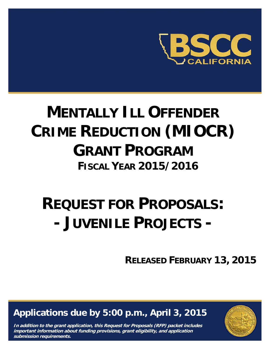

# **MENTALLY ILL OFFENDER CRIME REDUCTION (MIOCR) GRANT PROGRAM FISCAL YEAR 2015/2016**

# **REQUEST FOR PROPOSALS: - JUVENILE PROJECTS -**

**RELEASED FEBRUARY 13, 2015**

**Applications due by 5:00 p.m., April 3, 2015** 

**In addition to the grant application, this Request for Proposals (RFP) packet includes important information about funding provisions, grant eligibility, and application submission requirements.** 

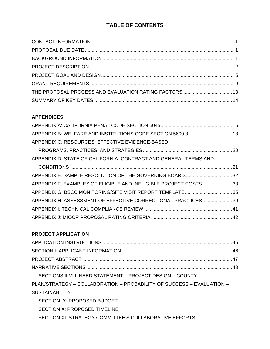# **TABLE OF CONTENTS**

## **APPENDICES**

| APPENDIX B: WELFARE AND INSTITUTIONS CODE SECTION 5600.3  18    |  |
|-----------------------------------------------------------------|--|
| APPENDIX C: RESOURCES: EFFECTIVE EVIDENCE-BASED                 |  |
|                                                                 |  |
| APPENDIX D: STATE OF CALIFORNIA- CONTRACT AND GENERAL TERMS AND |  |
|                                                                 |  |
| APPENDIX E: SAMPLE RESOLUTION OF THE GOVERNING BOARD32          |  |
| APPENDIX F: EXAMPLES OF ELIGIBLE AND INELIGIBLE PROJECT COSTS33 |  |
| APPENDIX G: BSCC MONITORING/SITE VISIT REPORT TEMPLATE35        |  |
| APPENDIX H: ASSESSMENT OF EFFECTIVE CORRECTIONAL PRACTICES39    |  |
|                                                                 |  |
|                                                                 |  |

# **PROJECT APPLICATION**

| SECTIONS II-VIII: NEED STATEMENT - PROJECT DESIGN - COUNTY            |
|-----------------------------------------------------------------------|
| PLAN/STRATEGY – COLLABORATION – PROBABILITY OF SUCCESS – EVALUATION – |
| <b>SUSTAINABILITY</b>                                                 |
| SECTION IX: PROPOSED BUDGET                                           |
| SECTION X: PROPOSED TIMELINE                                          |
| SECTION XI: STRATEGY COMMITTEE'S COLLABORATIVE EFFORTS                |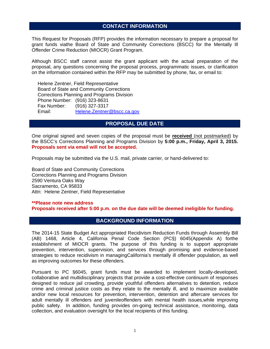## **CONTACT INFORMATION**

This Request for Proposals (RFP) provides the information necessary to prepare a proposal for grant funds viathe Board of State and Community Corrections (BSCC) for the Mentally Ill Offender Crime Reduction (MIOCR) Grant Program.

Although BSCC staff cannot assist the grant applicant with the actual preparation of the proposal, any questions concerning the proposal process, programmatic issues, or clarification on the information contained within the RFP may be submitted by phone, fax, or email to:

 Helene Zentner, Field Representative Board of State and Community Corrections Corrections Planning and Programs Division Phone Number: (916) 323-8631 Fax Number: (916) 327-3317 Email: Helene.Zentner@bscc.ca.gov

## **PROPOSAL DUE DATE**

One original signed and seven copies of the proposal must be **received** (not postmarked) by the BSCC's Corrections Planning and Programs Division by **5:00 p.m., Friday, April 3, 2015. Proposals sent via email will not be accepted.**

Proposals may be submitted via the U.S. mail, private carrier, or hand-delivered to:

Board of State and Community Corrections Corrections Planning and Programs Division 2590 Ventura Oaks Way Sacramento, CA 95833 Attn: Helene Zentner, Field Representative

**\*\*Please note new address Proposals received after 5:00 p.m. on the due date will be deemed ineligible for funding.** 

## **BACKGROUND INFORMATION**

The 2014-15 State Budget Act appropriated Recidivism Reduction Funds through Assembly Bill (AB) 1468, Article 4, California Penal Code Section (PC§) 6045(Appendix A) forthe establishment of MIOCR grants. The purpose of this funding is to support appropriate prevention, intervention, supervision, and services through promising and evidence-based strategies to reduce recidivism in managingCalifornia's mentally ill offender population, as well as improving outcomes for these offenders.

Pursuant to PC §6045, grant funds must be awarded to implement locally-developed, collaborative and multidisciplinary projects that provide a cost-effective continuum of responses designed to reduce jail crowding, provide youthful offenders alternatives to detention, reduce crime and criminal justice costs as they relate to the mentally ill, and to maximize available and/or new local resources for prevention, intervention, detention and aftercare services for adult mentally ill offenders and juvenileoffenders with mental health issues,while improving public safety. In addition, funding provides on-going technical assistance, monitoring, data collection, and evaluation oversight for the local recipients of this funding.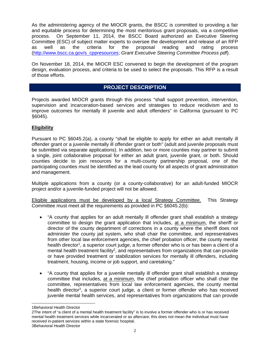As the administering agency of the MIOCR grants, the BSCC is committed to providing a fair and equitable process for determining the most meritorious grant proposals, via a competitive process. On September 11, 2014, the BSCC Board authorized an Executive Steering Committee (ESC) of subject matter experts to oversee the development and release of an RFP as well as the criteria for the proposal reading and rating process (http://www.bscc.ca.gov/s\_cppresources; *Grant Executive Steering Committee Process pdf*).

On November 18, 2014, the MIOCR ESC convened to begin the development of the program design, evaluation process, and criteria to be used to select the proposals. This RFP is a result of those efforts.

## **PROJECT DESCRIPTION**

Projects awarded MIOCR grants through this process "shall support prevention, intervention, supervision and incarceration-based services and strategies to reduce recidivism and to improve outcomes for mentally ill juvenile and adult offenders" in California (pursuant to PC §6045).

## **Eligibility**

Pursuant to PC §6045.2(a), a county "shall be eligible to apply for either an adult mentally ill offender grant or a juvenile mentally ill offender grant or both" (adult and juvenile proposals must be submitted via separate applications). In addition, two or more counties may partner to submit a single, joint collaborative proposal for either an adult grant, juvenile grant, or both. Should counties decide to join resources for a multi-county partnership proposal, one of the participating counties must be identified as the lead county for all aspects of grant administration and management.

Multiple applications from a county (or a county-collaborative) for an adult-funded MIOCR project and/or a juvenile-funded project will not be allowed.

Eligible applications must be developed by a local Strategy Committee. This Strategy Committee must meet all the requirements as provided in PC §6045.2(b):

- "A county that applies for an adult mentally ill offender grant shall establish a strategy committee to design the grant application that includes, at a minimum, the sheriff or director of the county department of corrections in a county where the sheriff does not administer the county jail system, who shall chair the committee, and representatives from other local law enforcement agencies, the chief probation officer, the county mental health director<sup>1</sup>, a superior court judge, a former offender who is or has been a client of a mental health treatment facility<sup>2</sup>, and representatives from organizations that can provide or have provided treatment or stabilization services for mentally ill offenders, including treatment, housing, income or job support, and caretaking."
- "A county that applies for a juvenile mentally ill offender grant shall establish a strategy committee that includes, at a minimum, the chief probation officer who shall chair the committee, representatives from local law enforcement agencies, the county mental health director<sup>3</sup>, a superior court judge, a client or former offender who has received juvenile mental health services, and representatives from organizations that can provide

 $\overline{a}$ 

<sup>1</sup>Behavioral Health Director

<sup>2</sup>The intent of "a client of a mental health treatment facility" is to involve a former offender who is or has received mental health treatment services while incarcerated or as aftercare; this does not mean the individual must have received in-patient services within a state forensic hospital.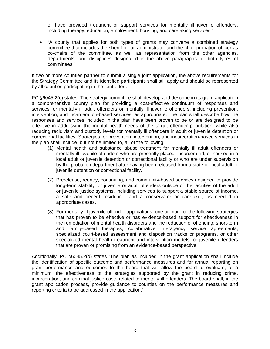or have provided treatment or support services for mentally ill juvenile offenders, including therapy, education, employment, housing, and caretaking services."

 "A county that applies for both types of grants may convene a combined strategy committee that includes the sheriff or jail administrator and the chief probation officer as co-chairs of the committee, as well as representation from the other agencies, departments, and disciplines designated in the above paragraphs for both types of committees."

If two or more counties partner to submit a single joint application, the above requirements for the Strategy Committee and its identified participants shall still apply and should be represented by all counties participating in the joint effort.

PC §6045.2(c) states "The strategy committee shall develop and describe in its grant application a comprehensive county plan for providing a cost-effective continuum of responses and services for mentally ill adult offenders or mentally ill juvenile offenders, including prevention, intervention, and incarceration-based services, as appropriate. The plan shall describe how the responses and services included in the plan have been proven to be or are designed to be effective in addressing the mental health needs of the target offender population, while also reducing recidivism and custody levels for mentally ill offenders in adult or juvenile detention or correctional facilities. Strategies for prevention, intervention, and incarceration-based services in the plan shall include, but not be limited to, all of the following:

- (1) Mental health and substance abuse treatment for mentally ill adult offenders or mentally ill juvenile offenders who are presently placed, incarcerated, or housed in a local adult or juvenile detention or correctional facility or who are under supervision by the probation department after having been released from a state or local adult or juvenile detention or correctional facility.
- (2) Prerelease, reentry, continuing, and community-based services designed to provide long-term stability for juvenile or adult offenders outside of the facilities of the adult or juvenile justice systems, including services to support a stable source of income, a safe and decent residence, and a conservator or caretaker, as needed in appropriate cases.
- (3) For mentally ill juvenile offender applications, one or more of the following strategies that has proven to be effective or has evidence-based support for effectiveness in the remediation of mental health disorders and the reduction of offending: short-term and family-based therapies, collaborative interagency service agreements, specialized court-based assessment and disposition tracks or programs, or other specialized mental health treatment and intervention models for juvenile offenders that are proven or promising from an evidence-based perspective."

Additionally, PC §6045.2(d) states "The plan as included in the grant application shall include the identification of specific outcome and performance measures and for annual reporting on grant performance and outcomes to the board that will allow the board to evaluate, at a minimum, the effectiveness of the strategies supported by the grant in reducing crime, incarceration, and criminal justice costs related to mentally ill offenders. The board shall, in the grant application process, provide guidance to counties on the performance measures and reporting criteria to be addressed in the application."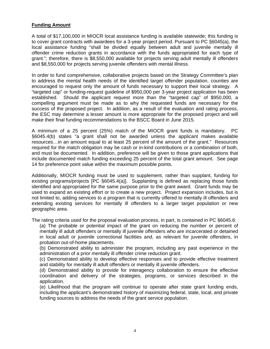## **Funding Amount**

A total of \$17,100,000 in MIOCR local assistance funding is available statewide; this funding is to cover grant contracts with awardees for a 3-year project period. Pursuant to PC §6045(a), the local assistance funding "shall be divided equally between adult and juvenile mentally ill offender crime reduction grants in accordance with the funds appropriated for each type of grant."; therefore, there is \$8,550,000 available for projects serving adult mentally ill offenders and \$8,550,000 for projects serving juvenile offenders with mental illness.

In order to fund comprehensive, collaborative projects based on the Strategy Committee's plan to address the mental health needs of the identified target offender population, counties are encouraged to request only the amount of funds necessary to support their local strategy. A "targeted cap" or funding-request guideline of \$950,000 per 3-year project application has been established. Should the applicant request more than the "targeted cap" of \$950,000, a compelling argument must be made as to why the requested funds are necessary for the success of the proposed project. In addition, as a result of the evaluation and rating process, the ESC may determine a lesser amount is more appropriate for the proposed project and will make their final funding recommendations to the BSCC Board in June 2015.

A minimum of a 25 percent (25%) match of the MIOCR grant funds is mandatory. PC §6045.4(b) states "a grant shall not be awarded unless the applicant makes available resources…in an amount equal to at least 25 percent of the amount of the grant." Resources required for the match obligation may be cash or in-kind contributions or a combination of both, and must be documented. In addition, preference will be given to those grant applications that include documented match funding exceeding 25 percent of the total grant amount. See page 14 for preference point value within the maximum possible points.

Additionally, MIOCR funding must be used to supplement, rather than supplant, funding for existing programs/projects [PC §6045.4(a)]. Supplanting is defined as replacing those funds identified and appropriated for the same purpose prior to the grant award. Grant funds may be used to expand an existing effort or to create a new project. Project expansion includes, but is not limited to, adding services to a program that is currently offered to mentally ill offenders and extending existing services for mentally ill offenders to a larger target population or new geographic area.

The rating criteria used for the proposal evaluation process, in part, is contained in PC §6045.6:

(a) The probable or potential impact of the grant on reducing the number or percent of mentally ill adult offenders or mentally ill juvenile offenders who are incarcerated or detained in local adult or juvenile correctional facilities and, as relevant for juvenile offenders, in probation out-of-home placements.

(b) Demonstrated ability to administer the program, including any past experience in the administration of a prior mentally ill offender crime reduction grant.

(c) Demonstrated ability to develop effective responses and to provide effective treatment and stability for mentally ill adult offenders or mentally ill juvenile offenders.

(d) Demonstrated ability to provide for interagency collaboration to ensure the effective coordination and delivery of the strategies, programs, or services described in the application.

(e) Likelihood that the program will continue to operate after state grant funding ends, including the applicant's demonstrated history of maximizing federal, state, local, and private funding sources to address the needs of the grant service population.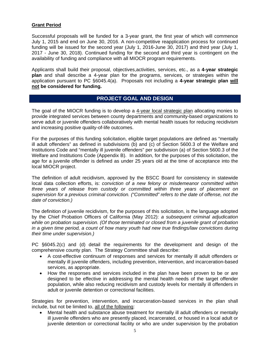## **Grant Period**

Successful proposals will be funded for a 3-year grant, the first year of which will commence July 1, 2015 and end on June 30, 2016. A non-competitive reapplication process for continued funding will be issued for the second year (July 1, 2016-June 30, 2017) and third year (July 1, 2017 - June 30, 2018). Continued funding for the second and third year is contingent on the availability of funding and compliance with all MIOCR program requirements.

Applicants shall build their proposal, objectives,activities, services, etc., as a **4-year strategic plan** and shall describe a 4-year plan for the programs, services, or strategies within the application pursuant to PC §6045.4(a). Proposals not including a **4-year strategic plan will not be considered for funding.**

## **PROJECT GOAL AND DESIGN**

The goal of the MIOCR funding is to develop a 4-year local strategic plan allocating monies to provide integrated services between county departments and community-based organizations to serve adult or juvenile offenders collaboratively with mental health issues for reducing recidivism and increasing positive quality-of-life outcomes.

For the purposes of this funding solicitation, eligible target populations are defined as "mentally ill adult offenders" as defined in subdivisions (b) and (c) of Section 5600.3 of the Welfare and Institutions Code and "mentally ill juvenile offenders" per subdivision (a) of Section 5600.3 of the Welfare and Institutions Code (Appendix B). In addition, for the purposes of this solicitation, the age for a juvenile offender is defined as under 25 years old at the time of acceptance into the local MIOCR project.

The definition of adult recidivism, approved by the BSCC Board for consistency in statewide local data collection efforts, is: *conviction of a new felony or misdemeanor committed within three years of release from custody or committed within three years of placement on supervision for a previous criminal conviction. ("Committed" refers to the date of offense, not the date of conviction.)* 

The definition of juvenile recidivism, for the purposes of this solicitation, is the language adopted by the Chief Probation Officers of California (May 2012): *a subsequent criminal adjudication while on probation supervision. (Of those terminated or closed from a juvenile grant of probation in a given time period, a count of how many youth had new true findings/law convictions during their time under supervision.)* 

PC §6045.2(c) and (d) detail the requirements for the development and design of the comprehensive county plan. The Strategy Committee shall describe:

- A cost-effective continuum of responses and services for mentally ill adult offenders or mentally ill juvenile offenders, including prevention, intervention, and incarceration-based services, as appropriate.
- How the responses and services included in the plan have been proven to be or are designed to be effective in addressing the mental health needs of the target offender population, while also reducing recidivism and custody levels for mentally ill offenders in adult or juvenile detention or correctional facilities.

Strategies for prevention, intervention, and incarceration-based services in the plan shall include, but not be limited to, all of the following:

 Mental health and substance abuse treatment for mentally ill adult offenders or mentally ill juvenile offenders who are presently placed, incarcerated, or housed in a local adult or juvenile detention or correctional facility or who are under supervision by the probation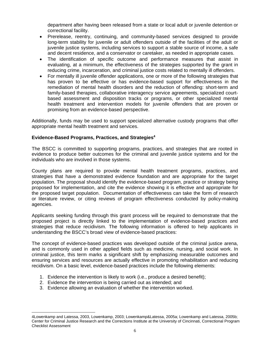department after having been released from a state or local adult or juvenile detention or correctional facility.

- Prerelease, reentry, continuing, and community-based services designed to provide long-term stability for juvenile or adult offenders outside of the facilities of the adult or juvenile justice systems, including services to support a stable source of income, a safe and decent residence, and a conservator or caretaker, as needed in appropriate cases.
- The identification of specific outcome and performance measures that assist in evaluating, at a minimum, the effectiveness of the strategies supported by the grant in reducing crime, incarceration, and criminal justice costs related to mentally ill offenders.
- For mentally ill juvenile offender applications, one or more of the following strategies that has proven to be effective or has evidence-based support for effectiveness in the remediation of mental health disorders and the reduction of offending: short-term and family-based therapies, collaborative interagency service agreements, specialized courtbased assessment and disposition tracks or programs, or other specialized mental health treatment and intervention models for juvenile offenders that are proven or promising from an evidence-based perspective.

Additionally, funds may be used to support specialized alternative custody programs that offer appropriate mental health treatment and services.

## **Evidence-Based Programs, Practices, and Strategies4**

The BSCC is committed to supporting programs, practices, and strategies that are rooted in evidence to produce better outcomes for the criminal and juvenile justice systems and for the individuals who are involved in those systems.

County plans are required to provide mental health treatment programs, practices, and strategies that have a demonstrated evidence foundation and are appropriate for the target population. The proposal should identify the evidence-based program, practice or strategy being proposed for implementation, and cite the evidence showing it is effective and appropriate for the proposed target population. Documentation of effectiveness can take the form of research or literature review, or citing reviews of program effectiveness conducted by policy-making agencies.

Applicants seeking funding through this grant process will be required to demonstrate that the proposed project is directly linked to the implementation of evidence-based practices and strategies that reduce recidivism. The following information is offered to help applicants in understanding the BSCC's broad view of evidence-based practices:

The concept of evidence-based practices was developed outside of the criminal justice arena, and is commonly used in other applied fields such as medicine, nursing, and social work. In criminal justice, this term marks a significant shift by emphasizing measurable outcomes and ensuring services and resources are actually effective in promoting rehabilitation and reducing recidivism. On a basic level, evidence-based practices include the following elements:

- 1. Evidence the intervention is likely to work (i.e., produce a desired benefit);
- 2. Evidence the intervention is being carried out as intended; and
- 3. Evidence allowing an evaluation of whether the intervention worked.

 $\overline{a}$ 4Lowenkamp and Latessa, 2003, Lowenkamp, 2003; Lowenkamp&Latessa, 2005a; Lowenkamp and Latessa, 2005b; Center for Criminal Justice Research and the Corrections Institute at the University of Cincinnati, Correctional Program Checklist Assessment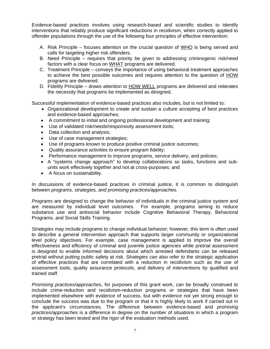Evidence-based practices involves using research-based and scientific studies to identify interventions that reliably produce significant reductions in recidivism, when correctly applied to offender populations through the use of the following four principles of effective intervention:

- A. Risk Principle focuses attention on the crucial question of WHO is being served and calls for targeting higher risk offenders.
- B. Need Principle requires that priority be given to addressing criminogenic risk/need factors with a clear focus on WHAT programs are delivered.
- C. Treatment Principle conveys the importance of using behavioral treatment approaches to achieve the best possible outcomes and requires attention to the question of HOW programs are delivered.
- D. Fidelity Principle draws attention to HOW WELL programs are delivered and reiterates the necessity that programs be implemented as designed.

Successful implementation of evidence-based practices also includes, but is not limited to:

- Organizational development to create and sustain a culture accepting of best practices and evidence-based approaches;
- A commitment to initial and ongoing professional development and training;
- Use of validated risk/needs/responsivity assessment tools;
- Data collection and analysis;
- Use of case management strategies;
- Use of programs known to produce positive criminal justice outcomes;
- Quality assurance activities to ensure program fidelity;
- Performance management to improve programs, service delivery, and policies;
- A "systems change approach" to develop collaborations so tasks, functions and subunits work effectively together and not at cross-purposes; and
- A focus on sustainability.

In discussions of evidence-based practices in criminal justice, it is common to distinguish between *programs, strategies, and promising practices/approaches.*

*Programs* are designed to change the behavior of individuals in the criminal justice system and are measured by individual level outcomes. For example, programs aiming to reduce substance use and antisocial behavior include Cognitive Behavioral Therapy, Behavioral Programs, and Social Skills Training.

*Strategies* may include programs to change individual behavior; however, this term is often used to describe a general intervention approach that supports larger community or organizational level policy objectives. For example, case management is applied to improve the overall effectiveness and efficiency of criminal and juvenile justice agencies while pretrial assessment is designed to enable informed decisions about which arrested defendants can be released pretrial without putting public safety at risk. *Strategies* can also refer to the strategic application of effective practices that are correlated with a reduction in recidivism such as the use of assessment tools, quality assurance protocols, and delivery of interventions by qualified and trained staff.

*Promising practices/approaches*, for purposes of this grant work, can be broadly construed to include crime-reduction and recidivism-reduction programs or strategies that have been implemented elsewhere with evidence of success, but with evidence not yet strong enough to conclude the success was due to the program or that it is highly likely to work if carried out in the applicant's circumstances. The difference between evidence-based and *promising practices/approaches* is a difference in degree on the number of situations in which a program or strategy has been tested and the rigor of the evaluation methods used.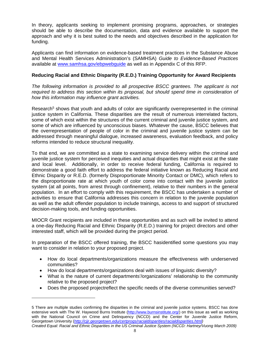In theory, applicants seeking to implement promising programs, approaches, or strategies should be able to describe the documentation, data and evidence available to support the approach and why it is best suited to the needs and objectives described in the application for funding.

Applicants can find information on evidence-based treatment practices in the Substance Abuse and Mental Health Services Administration's (SAMHSA) *Guide to Evidence-Based Practices*  available at www.samhsa.gov/ebpwebguide as well as in Appendix C of this RFP.

## **Reducing Racial and Ethnic Disparity (R.E.D.) Training Opportunity for Award Recipients**

The following information is provided to all prospective BSCC grantees. The applicant is not required to address this section within its proposal, but should spend time in consideration of *how this information may influence grant activities.* 

Research<sup>5</sup> shows that youth and adults of color are significantly overrepresented in the criminal justice system in California. These disparities are the result of numerous interrelated factors, some of which exist within the structures of the current criminal and juvenile justice system, and some of which are influenced by unconscious biases. Whatever the cause, BSCC believes that the overrepresentation of people of color in the criminal and juvenile justice system can be addressed through meaningful dialogue, increased awareness, evaluation feedback, and policy reforms intended to reduce structural inequality.

To that end, we are committed as a state to examining service delivery within the criminal and juvenile justice system for perceived inequities and actual disparities that might exist at the state and local level. Additionally, in order to receive federal funding, California is required to demonstrate a good faith effort to address the federal initiative known as Reducing Racial and Ethnic Disparity or R.E.D. (formerly Disproportionate Minority Contact or DMC), which refers to the disproportionate rate at which youth of color come into contact with the juvenile justice system (at all points, from arrest through confinement), relative to their numbers in the general population. In an effort to comply with this requirement, the BSCC has undertaken a number of activities to ensure that California addresses this concern in relation to the juvenile population as well as the adult offender population to include trainings, access to and support of structured decision-making tools, and funding opportunities.

MIOCR Grant recipients are included in these opportunities and as such will be invited to attend a one-day Reducing Racial and Ethnic Disparity (R.E.D.) training for project directors and other interested staff, which will be provided during the project period.

In preparation of the BSCC offered training, the BSCC hasidentified some questions you may want to consider in relation to your proposed project.

- How do local departments/organizations measure the effectiveness with underserved communities?
- How do local departments/organizations deal with issues of linguistic diversity?

 $\overline{a}$ 

- What is the nature of current departments'/organizations' relationship to the community relative to the proposed project?
- Does the proposed projectreflect the specific needs of the diverse communities served?

<sup>5</sup> There are multiple studies confirming the disparities in the criminal and juvenile justice systems. BSCC has done extensive work with The W. Haywood Burns Institute (http://www.burnsinstitute.org/) on this issue as well as working with the National Council on Crime and Delinquency (NCCD) and the Center for Juvenile Justice Reform, Georgetown University (*http://cjjr.georgetown.edu/certprogs/racialdisparities/racialdisparities.html) Created Equal: Racial and Ethnic Disparities in the US Criminal Justice System (NCCD: Hartney/Vuong March 2009)*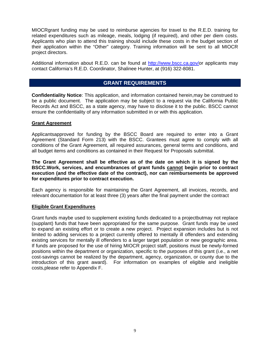MIOCRgrant funding may be used to reimburse agencies for travel to the R.E.D. training for related expenditures such as mileage, meals, lodging (if required), and other per diem costs. Applicants who plan to attend this training should include these costs in the budget section of their application within the "Other" category. Training information will be sent to all MIOCR project directors.

Additional information about R.E.D. can be found at http://www.bscc.ca.gov/or applicants may contact California's R.E.D. Coordinator, Shalinee Hunter, at (916) 322-8081.

## **GRANT REQUIREMENTS**

**Confidentiality Notice**: This application, and information contained herein,may be construed to be a public document. The application may be subject to a request via the California Public Records Act and BSCC, as a state agency, may have to disclose it to the public. BSCC cannot ensure the confidentiality of any information submitted in or with this application.

#### **Grant Agreement**

Applicantsapproved for funding by the BSCC Board are required to enter into a Grant Agreement (Standard Form 213) with the BSCC. Grantees must agree to comply with all conditions of the Grant Agreement, all required assurances, general terms and conditions, and all budget items and conditions as contained in their Request for Proposals submittal.

#### **The Grant Agreement shall be effective as of the date on which it is signed by the BSCC.Work, services, and encumbrances of grant funds cannot begin prior to contract execution (and the effective date of the contract), nor can reimbursements be approved for expenditures prior to contract execution.**

Each agency is responsible for maintaining the Grant Agreement, all invoices, records, and relevant documentation for at least three (3) years after the final payment under the contract

#### **Eligible Grant Expenditures**

Grant funds maybe used to supplement existing funds dedicated to a projectbutmay not replace (supplant) funds that have been appropriated for the same purpose. Grant funds may be used to expand an existing effort or to create a new project. Project expansion includes but is not limited to adding services to a project currently offered to mentally ill offenders and extending existing services for mentally ill offenders to a larger target population or new geographic area. If funds are proposed for the use of hiring MIOCR project staff, positions must be newly-formed positions within the department or organization, specific to the purposes of this grant (i.e., a net cost-savings cannot be realized by the department, agency, organization, or county due to the introduction of this grant award). For information on examples of eligible and ineligible costs,please refer to Appendix F.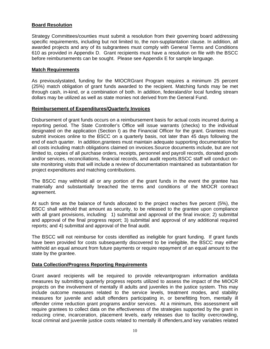## **Board Resolution**

Strategy Committees/counties must submit a resolution from their governing board addressing specific requirements, including but not limited to, the non-supplantation clause. In addition, all awarded projects and any of its subgrantees must comply with General Terms and Conditions 610 as provided in Appendix D. Grant recipients must have a resolution on file with the BSCC before reimbursements can be sought. Please see Appendix E for sample language.

#### **Match Requirements**

As previouslystated, funding for the MIOCRGrant Program requires a minimum 25 percent (25%) match obligation of grant funds awarded to the recipient. Matching funds may be met through cash, in-kind, or a combination of both. In addition, federaland/or local funding stream dollars may be utilized as well as state monies not derived from the General Fund.

#### **Reimbursement of Expenditures/Quarterly Invoices**

Disbursement of grant funds occurs on a reimbursement basis for actual costs incurred during a reporting period. The State Controller's Office will issue warrants (checks) to the individual designated on the application (Section I) as the Financial Officer for the grant. Grantees must submit invoices online to the BSCC on a quarterly basis, not later than 45 days following the end of each quarter. In addition,grantees must maintain adequate supporting documentation for all costs including match obligations claimed on invoices.Source documents include, but are not limited to, copies of all purchase orders, receipts, personnel and payroll records, donated goods and/or services, reconciliations, financial records, and audit reports.BSCC staff will conduct onsite monitoring visits that will include a review of documentation maintained as substantiation for project expenditures and matching contributions.

The BSCC may withhold all or any portion of the grant funds in the event the grantee has materially and substantially breached the terms and conditions of the MIOCR contract agreement.

At such time as the balance of funds allocated to the project reaches five percent (5%), the BSCC shall withhold that amount as security, to be released to the grantee upon compliance with all grant provisions, including: 1) submittal and approval of the final invoice; 2) submittal and approval of the final progress report; 3) submittal and approval of any additional required reports; and 4) submittal and approval of the final audit.

The BSCC will not reimburse for costs identified as ineligible for grant funding. If grant funds have been provided for costs subsequently discovered to be ineligible, the BSCC may either withhold an equal amount from future payments or require repayment of an equal amount to the state by the grantee.

## **Data Collection/Progress Reporting Requirements**

Grant award recipients will be required to provide relevantprogram information anddata measures by submitting quarterly progress reports utilized to assess the impact of the MIOCR projects on the involvement of mentally ill adults and juveniles in the justice system. This may include outcome measures related to the service levels, treatment modes, and stability measures for juvenile and adult offenders participating in, or benefitting from, mentally ill offender crime reduction grant programs and/or services. At a minimum, this assessment will require grantees to collect data on the effectiveness of the strategies supported by the grant in reducing crime, incarceration, placement levels, early releases due to facility overcrowding, local criminal and juvenile justice costs related to mentally ill offenders,and key variables related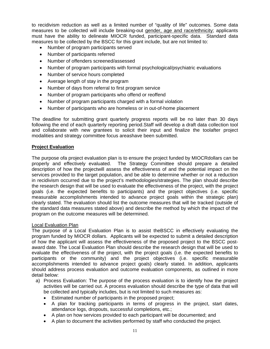to recidivism reduction as well as a limited number of "quality of life" outcomes. Some data measures to be collected will include breaking-out gender, age and race/ethnicity; applicants must have the ability to delineate MIOCR funded, participant-specific data. Standard data measures to be collected by the BSCC for this grant include, but are not limited to:

- Number of program participants served
- Number of participants referred
- Number of offenders screened/assessed
- Number of program participants with formal psychological/psychiatric evaluations
- Number of service hours completed
- Average length of stay in the program
- Number of days from referral to first program service
- Number of program participants who offend or reoffend
- Number of program participants charged with a formal violation
- Number of participants who are homeless or in out-of-home placement

The deadline for submitting grant quarterly progress reports will be no later than 30 days following the end of each quarterly reporting period.Staff will develop a draft data collection tool and collaborate with new grantees to solicit their input and finalize the toolafter project modalities and strategy committee focus areashave been submitted.

## **Project Evaluation**

The purpose ofa project evaluation plan is to ensure the project funded by MIOCRdollars can be properly and effectively evaluated. The Strategy Committee should prepare a detailed description of how the projectwill assess the effectiveness of and the potential impact on the services provided to the target population, and be able to determine whether or not a reduction in recidivism occurred due to the project's methodologies/strategies. The plan should describe the research design that will be used to evaluate the effectiveness of the project, with the project goals (i.e. the expected benefits to participants) and the project objectives (i.e. specific measurable accomplishments intended to advance project goals within the strategic plan) clearly stated. The evaluation should list the outcome measures that will be tracked (outside of the standard data measures stated above) and describe the method by which the impact of the program on the outcome measures will be determined.

## Local Evaluation Plan

The purpose of a Local Evaluation Plan is to assist theBSCC in effectively evaluating the program funded by MIOCR dollars. Applicants will be expected to submit a detailed description of how the applicant will assess the effectiveness of the proposed project to the BSCC postaward date. The Local Evaluation Plan should describe the research design that will be used to evaluate the effectiveness of the project, with the project goals (i.e. the expected benefits to participants or the community) and the project objectives (i.e. specific measurable accomplishments intended to advance project goals) clearly stated. In addition, applicants should address process evaluation and outcome evaluation components, as outlined in more detail below:

- a) Process Evaluation: The purpose of the process evaluation is to identify how the project activities will be carried out. A process evaluation should describe the type of data that will be collected and typically includes, but is not limited to such measures as:
	- Estimated number of participants in the proposed project;
	- A plan for tracking participants in terms of progress in the project, start dates, attendance logs, dropouts, successful completions, etc.;
	- A plan on how services provided to each participant will be documented; and
	- A plan to document the activities performed by staff who conducted the project.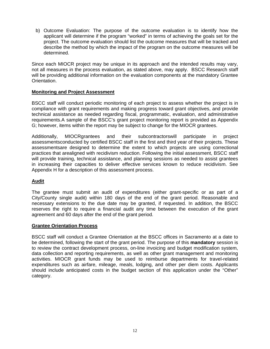b) Outcome Evaluation: The purpose of the outcome evaluation is to identify how the applicant will determine if the program "worked" in terms of achieving the goals set for the project. The outcome evaluation should list the outcome measures that will be tracked and describe the method by which the impact of the program on the outcome measures will be determined.

Since each MIOCR project may be unique in its approach and the intended results may vary, not all measures in the process evaluation, as stated above, may apply. BSCC Research staff will be providing additional information on the evaluation components at the mandatory Grantee Orientation.

## **Monitoring and Project Assessment**

BSCC staff will conduct periodic monitoring of each project to assess whether the project is in compliance with grant requirements and making progress toward grant objectives, and provide technical assistance as needed regarding fiscal, programmatic, evaluation, and administrative requirements.A sample of the BSCC's grant project monitoring report is provided as Appendix G; however, items within the report may be subject to change for the MIOCR grantees.

Additionally, MIOCRgrantees and their subcontractorswill participate in project assessmentsconducted by certified BSCC staff in the first and third year of their projects. These assessmentsare designed to determine the extent to which projects are using correctional practices that arealigned with recidivism reduction. Following the initial assessment, BSCC staff will provide training, technical assistance, and planning sessions as needed to assist grantees in increasing their capacities to deliver effective services known to reduce recidivism. See Appendix H for a description of this assessment process.

## **Audit**

The grantee must submit an audit of expenditures (either grant-specific or as part of a City/County single audit) within 180 days of the end of the grant period. Reasonable and necessary extensions to the due date may be granted, if requested. In addition, the BSCC reserves the right to require a financial audit any time between the execution of the grant agreement and 60 days after the end of the grant period.

## **Grantee Orientation Process**

BSCC staff will conduct a Grantee Orientation at the BSCC offices in Sacramento at a date to be determined, following the start of the grant period. The purpose of this **mandatory** session is to review the contract development process, on-line invoicing and budget modification system, data collection and reporting requirements, as well as other grant management and monitoring activities. MIOCR grant funds may be used to reimburse departments for travel-related expenditures such as airfare, mileage, meals, lodging, and other per diem costs. Applicants should include anticipated costs in the budget section of this application under the "Other" category.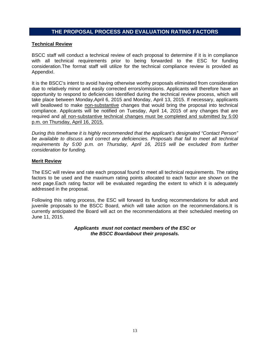## **THE PROPOSAL PROCESS AND EVALUATION RATING FACTORS**

#### **Technical Review**

BSCC staff will conduct a technical review of each proposal to determine if it is in compliance with all technical requirements prior to being forwarded to the ESC for funding consideration.The format staff will utilize for the technical compliance review is provided as AppendixI.

It is the BSCC's intent to avoid having otherwise worthy proposals eliminated from consideration due to relatively minor and easily corrected errors/omissions. Applicants will therefore have an opportunity to respond to deficiencies identified during the technical review process, which will take place between Monday,April 6, 2015 and Monday, April 13, 2015. If necessary, applicants will beallowed to make non-substantive changes that would bring the proposal into technical compliance. Applicants will be notified on Tuesday, April 14, 2015 of any changes that are required and all non-substantive technical changes must be completed and submitted by 5:00 p.m. on Thursday, April 16, 2015.

*During this timeframe it is highly recommended that the applicant's designated "Contact Person" be available to discuss and correct any deficiencies. Proposals that fail to meet all technical requirements by 5:00 p.m. on Thursday, April 16, 2015 will be excluded from further consideration for funding.*

#### **Merit Review**

The ESC will review and rate each proposal found to meet all technical requirements. The rating factors to be used and the maximum rating points allocated to each factor are shown on the next page.Each rating factor will be evaluated regarding the extent to which it is adequately addressed in the proposal.

Following this rating process, the ESC will forward its funding recommendations for adult and juvenile proposals to the BSCC Board, which will take action on the recommendations.It is currently anticipated the Board will act on the recommendations at their scheduled meeting on June 11, 2015.

#### *Applicants must not contact members of the ESC or the BSCC Boardabout their proposals.*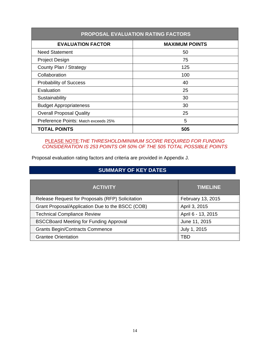| <b>PROPOSAL EVALUATION RATING FACTORS</b> |                       |  |  |
|-------------------------------------------|-----------------------|--|--|
| <b>EVALUATION FACTOR</b>                  | <b>MAXIMUM POINTS</b> |  |  |
| <b>Need Statement</b>                     | 50                    |  |  |
| Project Design                            | 75                    |  |  |
| County Plan / Strategy                    | 125                   |  |  |
| Collaboration                             | 100                   |  |  |
| <b>Probability of Success</b>             | 40                    |  |  |
| Evaluation                                | 25                    |  |  |
| Sustainability                            | 30                    |  |  |
| <b>Budget Appropriateness</b>             | 30                    |  |  |
| <b>Overall Proposal Quality</b>           | 25                    |  |  |
| Preference Points: Match exceeds 25%      | 5                     |  |  |
| <b>TOTAL POINTS</b>                       | 505                   |  |  |

PLEASE NOTE:*THE THRESHOLD/MINIMUM SCORE REQUIRED FOR FUNDING CONSIDERATION IS 253 POINTS OR 50% OF THE 505 TOTAL POSSIBLE POINTS*

Proposal evaluation rating factors and criteria are provided in Appendix J.

# **SUMMARY OF KEY DATES**

| <b>ACTIVITY</b>                                  | <b>TIMELINE</b>    |  |
|--------------------------------------------------|--------------------|--|
| Release Request for Proposals (RFP) Solicitation | February 13, 2015  |  |
| Grant Proposal/Application Due to the BSCC (COB) | April 3, 2015      |  |
| <b>Technical Compliance Review</b>               | April 6 - 13, 2015 |  |
| <b>BSCCBoard Meeting for Funding Approval</b>    | June 11, 2015      |  |
| <b>Grants Begin/Contracts Commence</b>           | July 1, 2015       |  |
| <b>Grantee Orientation</b>                       | TRD                |  |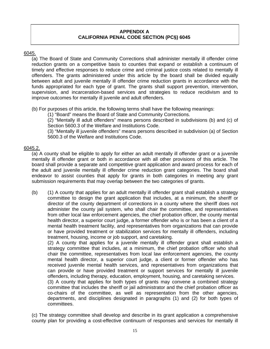## **APPENDIX A CALIFORNIA PENAL CODE SECTION (PC§) 6045**

## 6045.

(a) The Board of State and Community Corrections shall administer mentally ill offender crime reduction grants on a competitive basis to counties that expand or establish a continuum of timely and effective responses to reduce crime and criminal justice costs related to mentally ill offenders. The grants administered under this article by the board shall be divided equally between adult and juvenile mentally ill offender crime reduction grants in accordance with the funds appropriated for each type of grant. The grants shall support prevention, intervention, supervision, and incarceration-based services and strategies to reduce recidivism and to improve outcomes for mentally ill juvenile and adult offenders.

(b) For purposes of this article, the following terms shall have the following meanings:

(1) "Board" means the Board of State and Community Corrections.

(2) "Mentally ill adult offenders" means persons described in subdivisions (b) and (c) of Section 5600.3 of the Welfare and Institutions Code.

(3) "Mentally ill juvenile offenders" means persons described in subdivision (a) of Section 5600.3 of the Welfare and Institutions Code.

## 6045.2.

(a) A county shall be eligible to apply for either an adult mentally ill offender grant or a juvenile mentally ill offender grant or both in accordance with all other provisions of this article. The board shall provide a separate and competitive grant application and award process for each of the adult and juvenile mentally ill offender crime reduction grant categories. The board shall endeavor to assist counties that apply for grants in both categories in meeting any grant submission requirements that may overlap between the two categories of grants.

(b) (1) A county that applies for an adult mentally ill offender grant shall establish a strategy committee to design the grant application that includes, at a minimum, the sheriff or director of the county department of corrections in a county where the sheriff does not administer the county jail system, who shall chair the committee, and representatives from other local law enforcement agencies, the chief probation officer, the county mental health director, a superior court judge, a former offender who is or has been a client of a mental health treatment facility, and representatives from organizations that can provide or have provided treatment or stabilization services for mentally ill offenders, including treatment, housing, income or job support, and caretaking.

(2) A county that applies for a juvenile mentally ill offender grant shall establish a strategy committee that includes, at a minimum, the chief probation officer who shall chair the committee, representatives from local law enforcement agencies, the county mental health director, a superior court judge, a client or former offender who has received juvenile mental health services, and representatives from organizations that can provide or have provided treatment or support services for mentally ill juvenile offenders, including therapy, education, employment, housing, and caretaking services.

(3) A county that applies for both types of grants may convene a combined strategy committee that includes the sheriff or jail administrator and the chief probation officer as co-chairs of the committee, as well as representation from the other agencies, departments, and disciplines designated in paragraphs (1) and (2) for both types of committees.

(c) The strategy committee shall develop and describe in its grant application a comprehensive county plan for providing a cost-effective continuum of responses and services for mentally ill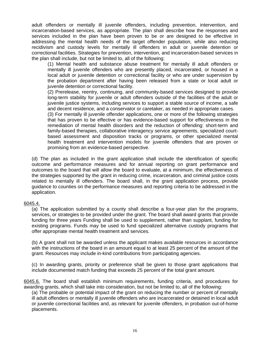adult offenders or mentally ill juvenile offenders, including prevention, intervention, and incarceration-based services, as appropriate. The plan shall describe how the responses and services included in the plan have been proven to be or are designed to be effective in addressing the mental health needs of the target offender population, while also reducing recidivism and custody levels for mentally ill offenders in adult or juvenile detention or correctional facilities. Strategies for prevention, intervention, and incarceration-based services in the plan shall include, but not be limited to, all of the following:

(1) Mental health and substance abuse treatment for mentally ill adult offenders or mentally ill juvenile offenders who are presently placed, incarcerated, or housed in a local adult or juvenile detention or correctional facility or who are under supervision by the probation department after having been released from a state or local adult or juvenile detention or correctional facility.

(2) Prerelease, reentry, continuing, and community-based services designed to provide long-term stability for juvenile or adult offenders outside of the facilities of the adult or juvenile justice systems, including services to support a stable source of income, a safe and decent residence, and a conservator or caretaker, as needed in appropriate cases.

(3) For mentally ill juvenile offender applications, one or more of the following strategies that has proven to be effective or has evidence-based support for effectiveness in the remediation of mental health disorders and the reduction of offending: short-term and family-based therapies, collaborative interagency service agreements, specialized courtbased assessment and disposition tracks or programs, or other specialized mental health treatment and intervention models for juvenile offenders that are proven or promising from an evidence-based perspective.

(d) The plan as included in the grant application shall include the identification of specific outcome and performance measures and for annual reporting on grant performance and outcomes to the board that will allow the board to evaluate, at a minimum, the effectiveness of the strategies supported by the grant in reducing crime, incarceration, and criminal justice costs related to mentally ill offenders. The board shall, in the grant application process, provide guidance to counties on the performance measures and reporting criteria to be addressed in the application.

#### 6045.4.

(a) The application submitted by a county shall describe a four-year plan for the programs, services, or strategies to be provided under the grant. The board shall award grants that provide funding for three years Funding shall be used to supplement, rather than supplant, funding for existing programs. Funds may be used to fund specialized alternative custody programs that offer appropriate mental health treatment and services.

(b) A grant shall not be awarded unless the applicant makes available resources in accordance with the instructions of the board in an amount equal to at least 25 percent of the amount of the grant. Resources may include in-kind contributions from participating agencies.

(c) In awarding grants, priority or preference shall be given to those grant applications that include documented match funding that exceeds 25 percent of the total grant amount.

6045.6. The board shall establish minimum requirements, funding criteria, and procedures for awarding grants, which shall take into consideration, but not be limited to, all of the following:

(a) The probable or potential impact of the grant on reducing the number or percent of mentally ill adult offenders or mentally ill juvenile offenders who are incarcerated or detained in local adult or juvenile correctional facilities and, as relevant for juvenile offenders, in probation out-of-home placements.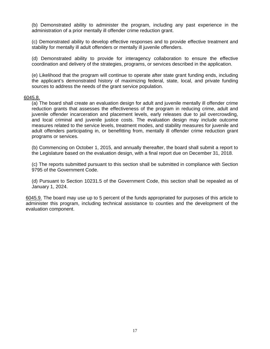(b) Demonstrated ability to administer the program, including any past experience in the administration of a prior mentally ill offender crime reduction grant.

(c) Demonstrated ability to develop effective responses and to provide effective treatment and stability for mentally ill adult offenders or mentally ill juvenile offenders.

(d) Demonstrated ability to provide for interagency collaboration to ensure the effective coordination and delivery of the strategies, programs, or services described in the application.

(e) Likelihood that the program will continue to operate after state grant funding ends, including the applicant's demonstrated history of maximizing federal, state, local, and private funding sources to address the needs of the grant service population.

#### 6045.8.

(a) The board shall create an evaluation design for adult and juvenile mentally ill offender crime reduction grants that assesses the effectiveness of the program in reducing crime, adult and juvenile offender incarceration and placement levels, early releases due to jail overcrowding, and local criminal and juvenile justice costs. The evaluation design may include outcome measures related to the service levels, treatment modes, and stability measures for juvenile and adult offenders participating in, or benefitting from, mentally ill offender crime reduction grant programs or services.

(b) Commencing on October 1, 2015, and annually thereafter, the board shall submit a report to the Legislature based on the evaluation design, with a final report due on December 31, 2018.

(c) The reports submitted pursuant to this section shall be submitted in compliance with Section 9795 of the Government Code.

(d) Pursuant to Section 10231.5 of the Government Code, this section shall be repealed as of January 1, 2024.

6045.9. The board may use up to 5 percent of the funds appropriated for purposes of this article to administer this program, including technical assistance to counties and the development of the evaluation component.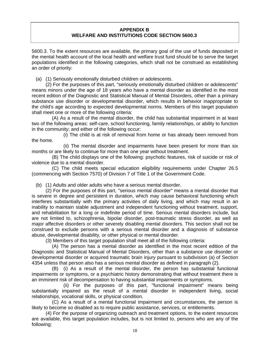## **APPENDIX B WELFARE AND INSTITUTIONS CODE SECTION 5600.3**

5600.3. To the extent resources are available, the primary goal of the use of funds deposited in the mental health account of the local health and welfare trust fund should be to serve the target populations identified in the following categories, which shall not be construed as establishing an order of priority:

(a) (1) Seriously emotionally disturbed children or adolescents.

 (2) For the purposes of this part, "seriously emotionally disturbed children or adolescents" means minors under the age of 18 years who have a mental disorder as identified in the most recent edition of the Diagnostic and Statistical Manual of Mental Disorders, other than a primary substance use disorder or developmental disorder, which results in behavior inappropriate to the child's age according to expected developmental norms. Members of this target population shall meet one or more of the following criteria:

 (A) As a result of the mental disorder, the child has substantial impairment in at least two of the following areas: self-care, school functioning, family relationships, or ability to function in the community; and either of the following occur:

 (i) The child is at risk of removal from home or has already been removed from the home.

 (ii) The mental disorder and impairments have been present for more than six months or are likely to continue for more than one year without treatment.

 (B) The child displays one of the following: psychotic features, risk of suicide or risk of violence due to a mental disorder.

 (C) The child meets special education eligibility requirements under Chapter 26.5 (commencing with Section 7570) of Division 7 of Title 1 of the Government Code.

(b) (1) Adults and older adults who have a serious mental disorder.

 (2) For the purposes of this part, "serious mental disorder" means a mental disorder that is severe in degree and persistent in duration, which may cause behavioral functioning which interferes substantially with the primary activities of daily living, and which may result in an inability to maintain stable adjustment and independent functioning without treatment, support, and rehabilitation for a long or indefinite period of time. Serious mental disorders include, but are not limited to, schizophrenia, bipolar disorder, post-traumatic stress disorder, as well as major affective disorders or other severely disabling mental disorders. This section shall not be construed to exclude persons with a serious mental disorder and a diagnosis of substance abuse, developmental disability, or other physical or mental disorder.

(3) Members of this target population shall meet all of the following criteria:

 (A) The person has a mental disorder as identified in the most recent edition of the Diagnostic and Statistical Manual of Mental Disorders, other than a substance use disorder or developmental disorder or acquired traumatic brain injury pursuant to subdivision (a) of Section 4354 unless that person also has a serious mental disorder as defined in paragraph (2).

 (B) (i) As a result of the mental disorder, the person has substantial functional impairments or symptoms, or a psychiatric history demonstrating that without treatment there is an imminent risk of decompensation to having substantial impairments or symptoms.

 (ii) For the purposes of this part, "functional impairment" means being substantially impaired as the result of a mental disorder in independent living, social relationships, vocational skills, or physical condition.

 (C) As a result of a mental functional impairment and circumstances, the person is likely to become so disabled as to require public assistance, services, or entitlements.

 (4) For the purpose of organizing outreach and treatment options, to the extent resources are available, this target population includes, but is not limited to, persons who are any of the following: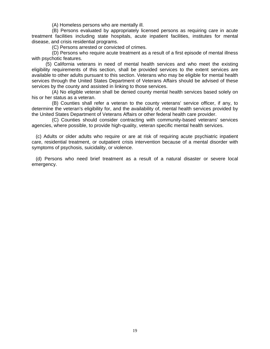(A) Homeless persons who are mentally ill.

 (B) Persons evaluated by appropriately licensed persons as requiring care in acute treatment facilities including state hospitals, acute inpatient facilities, institutes for mental disease, and crisis residential programs.

(C) Persons arrested or convicted of crimes.

 (D) Persons who require acute treatment as a result of a first episode of mental illness with psychotic features.

 (5) California veterans in need of mental health services and who meet the existing eligibility requirements of this section, shall be provided services to the extent services are available to other adults pursuant to this section. Veterans who may be eligible for mental health services through the United States Department of Veterans Affairs should be advised of these services by the county and assisted in linking to those services.

 (A) No eligible veteran shall be denied county mental health services based solely on his or her status as a veteran.

 (B) Counties shall refer a veteran to the county veterans' service officer, if any, to determine the veteran's eligibility for, and the availability of, mental health services provided by the United States Department of Veterans Affairs or other federal health care provider.

 (C) Counties should consider contracting with community-based veterans' services agencies, where possible, to provide high-quality, veteran specific mental health services.

 (c) Adults or older adults who require or are at risk of requiring acute psychiatric inpatient care, residential treatment, or outpatient crisis intervention because of a mental disorder with symptoms of psychosis, suicidality, or violence.

 (d) Persons who need brief treatment as a result of a natural disaster or severe local emergency.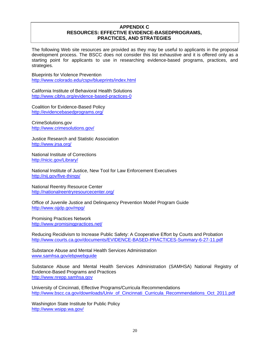### **APPENDIX C RESOURCES: EFFECTIVE EVIDENCE-BASEDPROGRAMS, PRACTICES, AND STRATEGIES**

The following Web site resources are provided as they may be useful to applicants in the proposal development process. The BSCC does not consider this list exhaustive and it is offered only as a starting point for applicants to use in researching evidence-based programs, practices, and strategies.

Blueprints for Violence Prevention http://www.colorado.edu/cspv/blueprints/index.html

California Institute of Behavioral Health Solutions http://www.cibhs.org/evidence-based-practices-0

Coalition for Evidence-Based Policy http://evidencebasedprograms.org/

CrimeSolutions.gov http://www.crimesolutions.gov/

Justice Research and Statistic Association http://www.jrsa.org/

National Institute of Corrections http://nicic.gov/Library/

National Institute of Justice, New Tool for Law Enforcement Executives http://nij.gov/five-things/

National Reentry Resource Center http://nationalreentryresourcecenter.org/

Office of Juvenile Justice and Delinquency Prevention Model Program Guide http://www.ojjdp.gov/mpg/

Promising Practices Network http://www.promisingpractices.net/

Reducing Recidivism to Increase Public Safety: A Cooperative Effort by Courts and Probation http://www.courts.ca.gov/documents/EVIDENCE-BASED-PRACTICES-Summary-6-27-11.pdf

Substance Abuse and Mental Health Services Administration www.samhsa.gov/ebpwebguide

Substance Abuse and Mental Health Services Administration (SAMHSA) National Registry of Evidence‐Based Programs and Practices http://www.nrepp.samhsa.gov

University of Cincinnati, Effective Programs/Curricula Recommendations http://www.bscc.ca.gov/downloads/Univ\_of\_Cincinnati\_Curricula\_Recommendations\_Oct\_2011.pdf

Washington State Institute for Public Policy http://www.wsipp.wa.gov/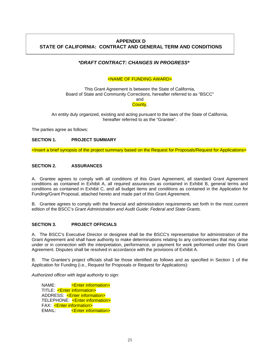## **APPENDIX D STATE OF CALIFORNIA: CONTRACT AND GENERAL TERM AND CONDITIONS**

## *\*DRAFT CONTRACT: CHANGES IN PROGRESS\**

#### <NAME OF FUNDING AWARD>

This Grant Agreement is between the State of California, Board of State and Community Corrections, hereafter referred to as "BSCC" and

County,

An entity duly organized, existing and acting pursuant to the laws of the State of California, hereafter referred to as the "Grantee".

The parties agree as follows:

#### **SECTION 1. PROJECT SUMMARY**

<Insert a brief synopsis of the project summary based on the Request for Proposals/Request for Applications>

#### **SECTION 2. ASSURANCES**

A. Grantee agrees to comply with all conditions of this Grant Agreement, all standard Grant Agreement conditions as contained in Exhibit A, all required assurances as contained in Exhibit B, general terms and conditions as contained in Exhibit C, and all budget items and conditions as contained in the Application for Funding/Grant Proposal, attached hereto and made part of this Grant Agreement.

B. Grantee agrees to comply with the financial and administration requirements set forth in the most current edition of the BSCC's *Grant Administration and Audit Guide: Federal and State Grants.*

#### **SECTION 3. PROJECT OFFICIALS**

A. The BSCC's Executive Director or designee shall be the BSCC's representative for administration of the Grant Agreement and shall have authority to make determinations relating to any controversies that may arise under or in connection with the interpretation, performance, or payment for work performed under this Grant Agreement. Disputes shall be resolved in accordance with the provisions of Exhibit A.

B. The Grantee's project officials shall be those identified as follows and as specified in Section 1 of the Application for Funding (i.e., Request for Proposals or Request for Applications):

*Authorized officer with legal authority to sign:* 

**NAME:** <**Enter information>** TITLE: <**Enter information>** ADDRESS: < Enter information> TELEPHONE: < Enter information> FAX: <**Enter information>** EMAIL: <**Enter information>**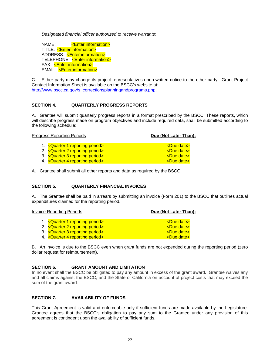*Designated financial officer authorized to receive warrants:* 

NAME: <**Enter information>** TITLE: <**Enter information>**  ADDRESS: <Enter information> TELEPHONE: < Enter information> FAX: <**Enter information>** EMAIL: <**Enter information>** 

C. Either party may change its project representatives upon written notice to the other party. Grant Project Contact Information Sheet is available on the BSCC's website at: http://www.bscc.ca.gov/s\_correctionsplanningandprograms.php.

#### **SECTION 4. QUARTERLY PROGRESS REPORTS**

A. Grantee will submit quarterly progress reports in a format prescribed by the BSCC. These reports, which will describe progress made on program objectives and include required data, shall be submitted according to the following schedule:

| Due (Not Later Than):                                                                                                                                                           |
|---------------------------------------------------------------------------------------------------------------------------------------------------------------------------------|
| <due date=""></due>                                                                                                                                                             |
| <due date=""></due>                                                                                                                                                             |
| <due date=""></due>                                                                                                                                                             |
| <due date=""></due>                                                                                                                                                             |
| <b>Progress Reporting Periods</b><br>1. < Quarter 1 reporting period><br>2. < Quarter 2 reporting period><br>3. < Quarter 3 reporting period<br>4. < Quarter 4 reporting period |

A. Grantee shall submit all other reports and data as required by the BSCC.

#### **SECTION 5. QUARTERLY FINANCIAL INVOICES**

A. The Grantee shall be paid in arrears by submitting an invoice (Form 201) to the BSCC that outlines actual expenditures claimed for the reporting period.

| <b>Invoice Reporting Periods</b> | Due (Not Later Than): |
|----------------------------------|-----------------------|
|                                  |                       |
| 1. < Quarter 1 reporting period  | <due date=""></due>   |
| 2. < Quarter 2 reporting period> | <due date=""></due>   |
| 3. < Quarter 3 reporting period  | <due date=""></due>   |
| 4. < Quarter 4 reporting period> | <due date=""></due>   |

B. An invoice is due to the BSCC even when grant funds are not expended during the reporting period (zero dollar request for reimbursement).

#### **SECTION 6. GRANT AMOUNT AND LIMITATION**

In no event shall the BSCC be obligated to pay any amount in excess of the grant award. Grantee waives any and all claims against the BSCC, and the State of California on account of project costs that may exceed the sum of the grant award.

#### **SECTION 7. AVAILABILITY OF FUNDS**

This Grant Agreement is valid and enforceable only if sufficient funds are made available by the Legislature. Grantee agrees that the BSCC's obligation to pay any sum to the Grantee under any provision of this agreement is contingent upon the availability of sufficient funds.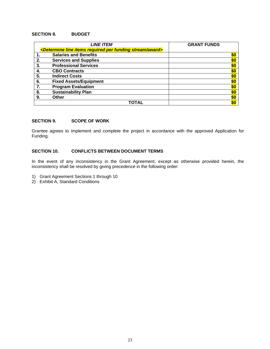#### **SECTION 8. BUDGET**

|    | <b>LINE ITEM</b>                                                                          | <b>GRANT FUNDS</b> |
|----|-------------------------------------------------------------------------------------------|--------------------|
|    | <determine award="" funding="" items="" line="" per="" required="" stream=""></determine> |                    |
|    | <b>Salaries and Benefits</b>                                                              | \$0                |
| 2. | <b>Services and Supplies</b>                                                              | \$0                |
| 3. | <b>Professional Services</b>                                                              | \$0                |
| 4. | <b>CBO Contracts</b>                                                                      | \$0                |
| 5. | <b>Indirect Costs</b>                                                                     | \$0                |
| 6. | <b>Fixed Assets/Equipment</b>                                                             | \$0                |
| 7. | <b>Program Evaluation</b>                                                                 | \$0                |
| 8. | <b>Sustainability Plan</b>                                                                | \$0                |
| 9. | <b>Other</b>                                                                              | \$0                |
|    | ΤΟΤΑΙ                                                                                     | \$0                |

#### **SECTION 9. SCOPE OF WORK**

Grantee agrees to implement and complete the project in accordance with the approved Application for Funding.

#### **SECTION 10. CONFLICTS BETWEEN DOCUMENT TERMS**

In the event of any inconsistency in the Grant Agreement, except as otherwise provided herein, the inconsistency shall be resolved by giving precedence in the following order:

- 1) Grant Agreement Sections 1 through 10
- 2) Exhibit A, Standard Conditions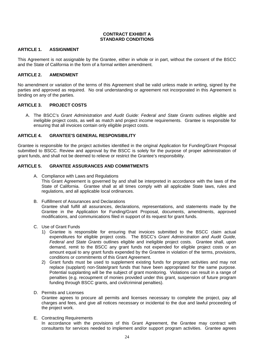#### **CONTRACT EXHIBIT A STANDARD CONDITIONS**

#### **ARTICLE 1. ASSIGNMENT**

This Agreement is not assignable by the Grantee, either in whole or in part, without the consent of the BSCC and the State of California in the form of a formal written amendment.

#### **ARTICLE 2. AMENDMENT**

No amendment or variation of the terms of this Agreement shall be valid unless made in writing, signed by the parties and approved as required. No oral understanding or agreement not incorporated in this Agreement is binding on any of the parties.

#### **ARTICLE 3. PROJECT COSTS**

A. The BSCC's Grant Administration and Audit Guide: Federal and State Grants outlines eligible and ineligible project costs, as well as match and project income requirements. Grantee is responsible for ensuring that all invoices contain only eligible project costs.

#### **ARTICLE 4. GRANTEE'S GENERAL RESPONSIBILITY**

Grantee is responsible for the project activities identified in the original Application for Funding/Grant Proposal submitted to BSCC. Review and approval by the BSCC is solely for the purpose of proper administration of grant funds, and shall not be deemed to relieve or restrict the Grantee's responsibility.

#### **ARTICLE 5. GRANTEE ASSURANCES AND COMMITMENTS**

- A. Compliance with Laws and Regulations This Grant Agreement is governed by and shall be interpreted in accordance with the laws of the State of California. Grantee shall at all times comply with all applicable State laws, rules and regulations, and all applicable local ordinances.
- B. Fulfillment of Assurances and Declarations Grantee shall fulfill all assurances, declarations, representations, and statements made by the Grantee in the Application for Funding/Grant Proposal, documents, amendments, approved modifications, and communications filed in support of its request for grant funds.
- C. Use of Grant Funds
	- 1) Grantee is responsible for ensuring that invoices submitted to the BSCC claim actual expenditures for eligible project costs. The BSCC's *Grant Administration and Audit Guide, Federal and State Grants* outlines eligible and ineligible project costs. Grantee shall, upon demand, remit to the BSCC any grant funds not expended for eligible project costs or an amount equal to any grant funds expended by the Grantee in violation of the terms, provisions, conditions or commitments of this Grant Agreement.
	- 2) Grant funds must be used to supplement existing funds for program activities and may not replace (supplant) non-State/grant funds that have been appropriated for the same purpose. Potential supplanting will be the subject of grant monitoring. Violations can result in a range of penalties (e.g. recoupment of monies provided under this grant, suspension of future program funding through BSCC grants, and civil/criminal penalties).
- D. Permits and Licenses

Grantee agrees to procure all permits and licenses necessary to complete the project, pay all charges and fees, and give all notices necessary or incidental to the due and lawful proceeding of the project work.

E. Contracting Requirements

In accordance with the provisions of this Grant Agreement, the Grantee may contract with consultants for services needed to implement and/or support program activities. Grantee agrees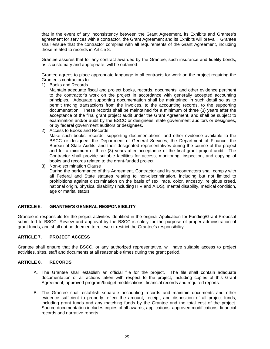that in the event of any inconsistency between the Grant Agreement, its Exhibits and Grantee's agreement for services with a contractor, the Grant Agreement and its Exhibits will prevail. Grantee shall ensure that the contractor complies with all requirements of the Grant Agreement, including those related to records in Article 8.

Grantee assures that for any contract awarded by the Grantee, such insurance and fidelity bonds, as is customary and appropriate, will be obtained.

Grantee agrees to place appropriate language in all contracts for work on the project requiring the Grantee's contractors to:

1) Books and Records

Maintain adequate fiscal and project books, records, documents, and other evidence pertinent to the contractor's work on the project in accordance with generally accepted accounting principles. Adequate supporting documentation shall be maintained in such detail so as to permit tracing transactions from the invoices, to the accounting records, to the supporting documentation. These records shall be maintained for a minimum of three (3) years after the acceptance of the final grant project audit under the Grant Agreement, and shall be subject to examination and/or audit by the BSCC or designees, state government auditors or designees, or by federal government auditors or designees.

2) Access to Books and Records

Make such books, records, supporting documentations, and other evidence available to the BSCC or designee, the Department of General Services, the Department of Finance, the Bureau of State Audits, and their designated representatives during the course of the project and for a minimum of three (3) years after acceptance of the final grant project audit. The Contractor shall provide suitable facilities for access, monitoring, inspection, and copying of books and records related to the grant-funded project.

3) Non-discrimination Clause During the performance of this Agreement, Contractor and its subcontractors shall comply with all Federal and State statutes relating to non-discrimination, including but not limited to prohibitions against discrimination on the basis of sex, race, color, ancestry, religious creed, national origin, physical disability (including HIV and AIDS), mental disability, medical condition, age or marital status.

#### **ARTICLE 6. GRANTEE'S GENERAL RESPONSIBILITY**

Grantee is responsible for the project activities identified in the original Application for Funding/Grant Proposal submitted to BSCC. Review and approval by the BSCC is solely for the purpose of proper administration of grant funds, and shall not be deemed to relieve or restrict the Grantee's responsibility.

#### **ARTICLE 7. PROJECT ACCESS**

Grantee shall ensure that the BSCC, or any authorized representative, will have suitable access to project activities, sites, staff and documents at all reasonable times during the grant period.

#### **ARTICLE 8. RECORDS**

- A. The Grantee shall establish an official file for the project. The file shall contain adequate documentation of all actions taken with respect to the project, including copies of this Grant Agreement, approved program/budget modifications, financial records and required reports.
- B. The Grantee shall establish separate accounting records and maintain documents and other evidence sufficient to properly reflect the amount, receipt, and disposition of all project funds, including grant funds and any matching funds by the Grantee and the total cost of the project. Source documentation includes copies of all awards, applications, approved modifications, financial records and narrative reports.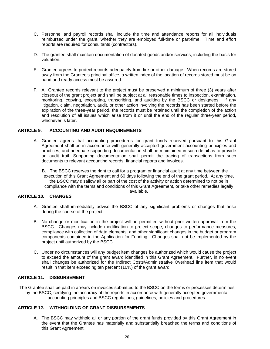- C. Personnel and payroll records shall include the time and attendance reports for all individuals reimbursed under the grant, whether they are employed full-time or part-time. Time and effort reports are required for consultants (contractors).
- D. The grantee shall maintain documentation of donated goods and/or services, including the basis for valuation.
- E. Grantee agrees to protect records adequately from fire or other damage. When records are stored away from the Grantee's principal office, a written index of the location of records stored must be on hand and ready access must be assured.
- F. All Grantee records relevant to the project must be preserved a minimum of three (3) years after closeout of the grant project and shall be subject at all reasonable times to inspection, examination, monitoring, copying, excerpting, transcribing, and auditing by the BSCC or designees. If any litigation, claim, negotiation, audit, or other action involving the records has been started before the expiration of the three-year period, the records must be retained until the completion of the action and resolution of all issues which arise from it or until the end of the regular three-year period, whichever is later.

#### **ARTICLE 9. ACCOUNTING AND AUDIT REQUIREMENTS**

- A. Grantee agrees that accounting procedures for grant funds received pursuant to this Grant Agreement shall be in accordance with generally accepted government accounting principles and practices, and adequate supporting documentation shall be maintained in such detail as to provide an audit trail. Supporting documentation shall permit the tracing of transactions from such documents to relevant accounting records, financial reports and invoices.
	- B. The BSCC reserves the right to call for a program or financial audit at any time between the execution of this Grant Agreement and 60 days following the end of the grant period. At any time, the BSCC may disallow all or part of the cost of the activity or action determined to not be in compliance with the terms and conditions of this Grant Agreement, or take other remedies legally available.

#### **ARTICLE 10. CHANGES**

- A. Grantee shall immediately advise the BSCC of any significant problems or changes that arise during the course of the project.
- B. No change or modification in the project will be permitted without prior written approval from the BSCC. Changes may include modification to project scope, changes to performance measures, compliance with collection of data elements, and other significant changes in the budget or program components contained in the Application for Funding. Changes shall not be implemented by the project until authorized by the BSCC.
- C. Under no circumstances will any budget item changes be authorized which would cause the project to exceed the amount of the grant award identified in this Grant Agreement. Further, in no event shall changes be authorized for the Indirect Costs/Administrative Overhead line item that would result in that item exceeding ten percent (10%) of the grant award.

#### **ARTICLE 11. DISBURSEMENT**

The Grantee shall be paid in arrears on invoices submitted to the BSCC on the forms or processes determines by the BSCC, certifying the accuracy of the reports in accordance with generally accepted governmental accounting principles and BSCC regulations, guidelines, policies and procedures.

#### **ARTICLE 12. WITHHOLDING OF GRANT DISBURSEMENTS**

A. The BSCC may withhold all or any portion of the grant funds provided by this Grant Agreement in the event that the Grantee has materially and substantially breached the terms and conditions of this Grant Agreement.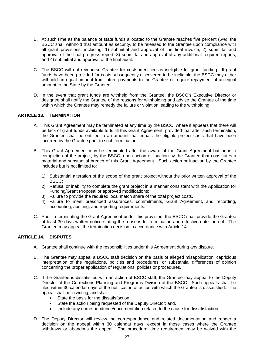- B. At such time as the balance of state funds allocated to the Grantee reaches five percent (5%), the BSCC shall withhold that amount as security, to be released to the Grantee upon compliance with all grant provisions, including: 1) submittal and approval of the final invoice; 2) submittal and approval of the final progress report; 3) submittal and approval of any additional required reports; and 4) submittal and approval of the final audit.
- C. The BSCC will not reimburse Grantee for costs identified as ineligible for grant funding. If grant funds have been provided for costs subsequently discovered to be ineligible, the BSCC may either withhold an equal amount from future payments to the Grantee or require repayment of an equal amount to the State by the Grantee.
- D. In the event that grant funds are withheld from the Grantee, the BSCC's Executive Director or designee shall notify the Grantee of the reasons for withholding and advise the Grantee of the time within which the Grantee may remedy the failure or violation leading to the withholding.

## **ARTICLE 13. TERMINATION**

- A. This Grant Agreement may be terminated at any time by the BSCC, where it appears that there will be lack of grant funds available to fulfill this Grant Agreement, provided that after such termination, the Grantee shall be entitled to an amount that equals the eligible project costs that have been incurred by the Grantee prior to such termination.
- B. This Grant Agreement may be terminated after the award of the Grant Agreement but prior to completion of the project, by the BSCC, upon action or inaction by the Grantee that constitutes a material and substantial breach of this Grant Agreement. Such action or inaction by the Grantee includes but is not limited to:
	- 1) Substantial alteration of the scope of the grant project without the prior written approval of the BSCC;
	- 2) Refusal or inability to complete the grant project in a manner consistent with the Application for Funding/Grant Proposal or approved modifications;
	- 3) Failure to provide the required local match share of the total project costs.
	- 4) Failure to meet prescribed assurances, commitments, Grant Agreement, and recording, accounting, auditing, and reporting requirements.
- C. Prior to terminating the Grant Agreement under this provision, the BSCC shall provide the Grantee at least 30 days written notice stating the reasons for termination and effective date thereof. The Grantee may appeal the termination decision in accordance with Article 14.

#### **ARTICLE 14. DISPUTES**

- A. Grantee shall continue with the responsibilities under this Agreement during any dispute.
- B. The Grantee may appeal a BSCC staff decision on the basis of alleged misapplication, capricious interpretation of the regulations, policies and procedures, or substantial differences of opinion concerning the proper application of regulations, policies or procedures.
- C. If the Grantee is dissatisfied with an action of BSCC staff, the Grantee may appeal to the Deputy Director of the Corrections Planning and Programs Division of the BSCC. Such appeals shall be filed within 30 calendar days of the notification of action with which the Grantee is dissatisfied. The appeal shall be in writing, and shall:
	- State the basis for the dissatisfaction;
	- State the action being requested of the Deputy Director; and,
	- Include any correspondence/documentation related to the cause for dissatisfaction.
- D. The Deputy Director will review the correspondence and related documentation and render a decision on the appeal within 30 calendar days, except in those cases where the Grantee withdraws or abandons the appeal. The procedural time requirement may be waived with the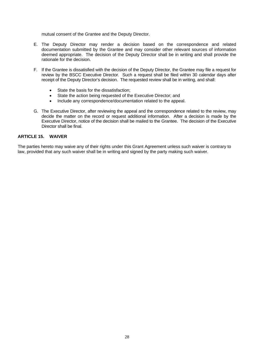mutual consent of the Grantee and the Deputy Director.

- E. The Deputy Director may render a decision based on the correspondence and related documentation submitted by the Grantee and may consider other relevant sources of information deemed appropriate. The decision of the Deputy Director shall be in writing and shall provide the rationale for the decision.
- F. If the Grantee is dissatisfied with the decision of the Deputy Director, the Grantee may file a request for review by the BSCC Executive Director. Such a request shall be filed within 30 calendar days after receipt of the Deputy Director's decision. The requested review shall be in writing, and shall:
	- State the basis for the dissatisfaction;
	- State the action being requested of the Executive Director; and
	- Include any correspondence/documentation related to the appeal.
- G. The Executive Director, after reviewing the appeal and the correspondence related to the review, may decide the matter on the record or request additional information. After a decision is made by the Executive Director, notice of the decision shall be mailed to the Grantee. The decision of the Executive Director shall be final.

#### **ARTICLE 15. WAIVER**

The parties hereto may waive any of their rights under this Grant Agreement unless such waiver is contrary to law, provided that any such waiver shall be in writing and signed by the party making such waiver.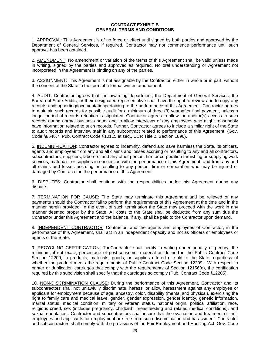#### **CONTRACT EXHIBIT B GENERAL TERMS AND CONDITIONS**

1. APPROVAL: This Agreement is of no force or effect until signed by both parties and approved by the Department of General Services, if required. Contractor may not commence performance until such approval has been obtained.

2. AMENDMENT: No amendment or variation of the terms of this Agreement shall be valid unless made in writing, signed by the parties and approved as required. No oral understanding or Agreement not incorporated in the Agreement is binding on any of the parties.

3. ASSIGNMENT: This Agreement is not assignable by the Contractor, either in whole or in part, without the consent of the State in the form of a formal written amendment.

4. AUDIT: Contractor agrees that the awarding department, the Department of General Services, the Bureau of State Audits, or their designated representative shall have the right to review and to copy any records andsupportingdocumentationpertaining to the performance of this Agreement. Contractor agrees to maintain such records for possible audit for a minimum of three (3) yearsafter final payment, unless a longer period of records retention is stipulated. Contractor agrees to allow the auditor(s) access to such records during normal business hours and to allow interviews of any employees who might reasonably have information related to such records. Further, Contractor agrees to include a similar right of the State to audit records and interview staff in any subcontract related to performance of this Agreement. (Gov. Code §8546.7, Pub. Contract Code §10115 et seq., CCR Title 2, Section 1896).

5. INDEMNIFICATION: Contractor agrees to indemnify, defend and save harmless the State, its officers, agents and employees from any and all claims and losses accruing or resulting to any and all contractors, subcontractors, suppliers, laborers, and any other person, firm or corporation furnishing or supplying work services, materials, or supplies in connection with the performance of this Agreement, and from any and all claims and losses accruing or resulting to any person, firm or corporation who may be injured or damaged by Contractor in the performance of this Agreement.

6. DISPUTES: Contractor shall continue with the responsibilities under this Agreement during any dispute.

7. TERMINATION FOR CAUSE: The State may terminate this Agreement and be relieved of any payments should the Contractor fail to perform the requirements of this Agreement at the time and in the manner herein provided. In the event of such termination the State may proceed with the work in any manner deemed proper by the State. All costs to the State shall be deducted from any sum due the Contractor under this Agreement and the balance, if any, shall be paid to the Contractor upon demand.

8. INDEPENDENT CONTRACTOR*:* Contractor, and the agents and employees of Contractor, in the performance of this Agreement, shall act in an independent capacity and not as officers or employees or agents of the State.

9. RECYCLING CERTIFICATION: TheContractor shall certify in writing under penalty of perjury, the minimum, if not exact, percentage of post-consumer material as defined in the Public Contract Code Section 12200, in products, materials, goods, or supplies offered or sold to the State regardless of whether the product meets the requirements of Public Contract Code Section 12209. With respect to printer or duplication cartridges that comply with the requirements of Section 12156(e), the certification required by this subdivision shall specify that the cartridges so comply (Pub. Contract Code §12205).

10. NON-DISCRIMINATION CLAUSE: During the performance of this Agreement, Contractor and its subcontractor*s* shall not unlawfully discriminate, harass, or allow harassment against any employee or applicant for employment because of age, ancestry, color, disability (mental and physical), exercising the right to family care and medical leave, gender, gender expression, gender identity, genetic information, marital status, medical condition, military or veteran status, national origin, political affiliation, race, religious creed, sex (includes pregnancy, childbirth, breastfeeding and related medical conditions), and sexual orientation.. Contractor and subcontractor*s* shall insure that the evaluation and treatment of their employees and applicants for employment are free from such discrimination and harassment. Contractor and subcontractors shall comply with the provision*s* of the Fair Employment and Housing Act [Gov. Code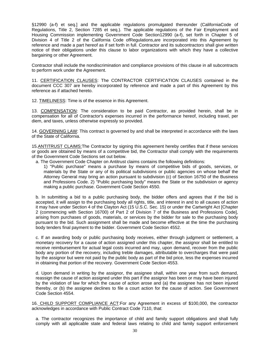§12990 (a-f) et seq.] and the applicable regulations promulgated thereunder (CaliforniaCode of Regulations, Title 2, Section 7285 et seq.). The applicable regulations of the Fair Employment and Housing Commission implementing Government Code Section12990 (a-f), set forth in Chapter 5 of Division 4 of Title 2 of the California Code ofRegulations,are incorporated into this Agreement by reference and made a part hereof as if set forth in full. Contractor and its subcontractor*s* shall give written notice of their obligations under this clause to labor organizations with which they have a collective bargaining or other Agreement.

Contractor shall include the nondiscrimination and compliance provisions of this clause in all subcontracts to perform work under the Agreement.

11. CERTIFICATION CLAUSES: The CONTRACTOR CERTIFICATION CLAUSES contained in the document CCC 307 are hereby incorporated by reference and made a part of this Agreement by this reference as if attached hereto.

12. TIMELINESS: Time is of the essence in this Agreement.

13. COMPENSATION: The consideration to be paid Contractor, as provided herein, shall be in compensation for all of Contractor's expenses incurred in the performance hereof, including travel, per diem, and taxes, unless otherwise expressly so provided.

14. GOVERNING LAW: This contract is governed by and shall be interpreted in accordance with the laws of the State of California.

15.ANTITRUST CLAIMS:The Contractor by signing this agreement hereby certifies that if these services or goods are obtained by means of a competitive bid, the Contractor shall comply with the requirements of the Government Code Sections set out below.

a. The Government Code Chapter on Antitrust claims contains the following definitions:

1) "Public purchase" means a purchase by means of competitive bids of goods, services, or materials by the State or any of its political subdivisions or public agencies on whose behalf the Attorney General may bring an action pursuant to subdivision (c) of Section 16750 of the Business and Professions Code. 2) "Public purchasing body" means the State or the subdivision or agency making a public purchase. Government Code Section 4550.

b. In submitting a bid to a public purchasing body, the bidder offers and agrees that if the bid is accepted, it will assign to the purchasing body all rights, title, and interest in and to all causes of action it may have under Section 4 of the Clayton Act (15 U.S.C. Sec. 15) or under the Cartwright Act [Chapter 2 (commencing with Section 16700) of Part 2 of Division 7 of the Business and Professions Code], arising from purchases of goods, materials, or services by the bidder for sale to the purchasing body pursuant to the bid. Such assignment shall be made and become effective at the time the purchasing body tenders final payment to the bidder. Government Code Section 4552.

c. If an awarding body or public purchasing body receives, either through judgment or settlement, a monetary recovery for a cause of action assigned under this chapter, the assignor shall be entitled to receive reimbursement for actual legal costs incurred and may, upon demand, recover from the public body any portion of the recovery, including treble damages, attributable to overcharges that were paid by the assignor but were not paid by the public body as part of the bid price, less the expenses incurred in obtaining that portion of the recovery. Government Code Section 4553.

d. Upon demand in writing by the assignor, the assignee shall, within one year from such demand, reassign the cause of action assigned under this part if the assignor has been or may have been injured by the violation of law for which the cause of action arose and (a) the assignee has not been injured thereby, or (b) the assignee declines to file a court action for the cause of action. See Government Code Section 4554.

16. CHILD SUPPORT COMPLIANCE ACT:For any Agreement in excess of \$100,000, the contractor acknowledges in accordance with Public Contract Code 7110, that:

a. The contractor recognizes the importance of child and family support obligations and shall fully comply with all applicable state and federal laws relating to child and family support enforcement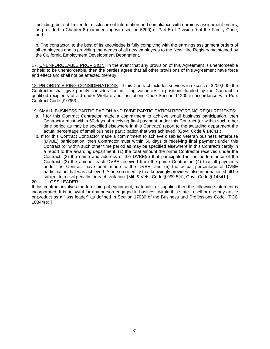including, but not limited to, disclosure of information and compliance with earnings assignment orders, as provided in Chapter 8 (commencing with section 5200) of Part 5 of Division 9 of the Family Code; and

b. The contractor, to the best of its knowledge is fully complying with the earnings assignment orders of all employees and is providing the names of all new employees to the New Hire Registry maintained by the California Employment Development Department.

17. UNENFORCEABLE PROVISION: In the event that any provision of this Agreement is unenforceable or held to be unenforceable, then the parties agree that all other provisions of this Agreement have force and effect and shall not be affected thereby.

18. PRIORITY HIRING CONSIDERATIONS: If this Contract includes services in excess of \$200,000, the Contractor shall give priority consideration in filling vacancies in positions funded by the Contract to qualified recipients of aid under Welfare and Institutions Code Section 11200 in accordance with Pub. Contract Code §10353.

#### 19. SMALL BUSINESS PARTICIPATION AND DVBE PARTICIPATION REPORTING REQUIREMENTS**:**

- a. If for this Contract Contractor made a commitment to achieve small business participation, then Contractor must within 60 days of receiving final payment under this Contract (or within such other time period as may be specified elsewhere in this Contract) report to the awarding department the actual percentage of small business participation that was achieved. (Govt. Code § 14841.)
- b. If for this Contract Contractor made a commitment to achieve disabled veteran business enterprise (DVBE) participation, then Contractor must within 60 days of receiving final payment under this Contract (or within such other time period as may be specified elsewhere in this Contract) certify in a report to the awarding department: (1) the total amount the prime Contractor received under the Contract; (2) the name and address of the DVBE(s) that participated in the performance of the Contract; (3) the amount each DVBE received from the prime Contractor; (4) that all payments under the Contract have been made to the DVBE; and (5) the actual percentage of DVBE participation that was achieved. A person or entity that knowingly provides false information shall be subject to a civil penalty for each violation. [Mil. & Vets. Code § 999.5(d); Govt. Code § 14841.]
- 20. LOSS LEADER:

If this contract involves the furnishing of equipment, materials, or supplies then the following statement is incorporated: It is unlawful for any person engaged in business within this state to sell or use any article or product as a "loss leader" as defined in Section 17030 of the Business and Professions Code. [PCC 10344(e).]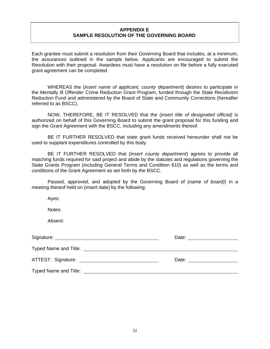#### **APPENDIX E SAMPLE RESOLUTION OF THE GOVERNING BOARD**

Each grantee must submit a resolution from their Governing Board that includes, at a minimum, the assurances outlined in the sample below. Applicants are encouraged to submit the Resolution with their proposal. Awardees must have a resolution on file before a fully executed grant agreement can be completed.

 WHEREAS the (*insert name of applicant, county department*) desires to participate in the Mentally Ill Offender Crime Reduction Grant Program, funded through the State Recidivism Reduction Fund and administered by the Board of State and Community Corrections (hereafter referred to as BSCC).

 NOW, THEREFORE, BE IT RESOLVED that the (*insert title of designated official)* is authorized on behalf of this Governing Board to submit the grant proposal for this funding and sign the Grant Agreement with the BSCC, including any amendments thereof.

 BE IT FURTHER RESOLVED that state grant funds received hereunder shall not be used to supplant expenditures controlled by this body.

 BE IT FURTHER RESOLVED that *(insert county department*) agrees to provide all matching funds required for said project and abide by the statutes and regulations governing the State Grants Program (including General Terms and Condition 610) as well as the terms and conditions of the Grant Agreement as set forth by the BSCC.

 Passed, approved, and adopted by the Governing Board of (*name of board)*) in a meeting thereof held on (insert date) by the following:

Ayes:

Notes:

Absent:

| Date: ____________________                                                                                                                                                                                                     |
|--------------------------------------------------------------------------------------------------------------------------------------------------------------------------------------------------------------------------------|
|                                                                                                                                                                                                                                |
| Date: the contract of the contract of the contract of the contract of the contract of the contract of the contract of the contract of the contract of the contract of the contract of the contract of the contract of the cont |
|                                                                                                                                                                                                                                |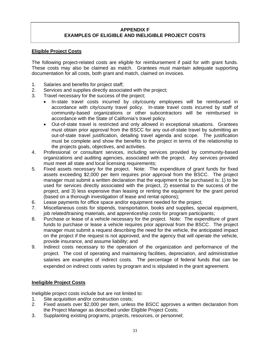## **APPENDIX F EXAMPLES OF ELIGIBLE AND INELIGIBLE PROJECT COSTS**

## **Eligible Project Costs**

The following project-related costs are eligible for reimbursement if paid for with grant funds. These costs may also be claimed as match. Grantees must maintain adequate supporting documentation for all costs, both grant and match, claimed on invoices.

- 1. Salaries and benefits for project staff;
- 2. Services and supplies directly associated with the project;
- 3. Travel necessary for the success of the project;
	- In-state travel costs incurred by city/county employees will be reimbursed in accordance with city/county travel policy. In-state travel costs incurred by staff of community-based organizations or other subcontractors will be reimbursed in accordance with the State of California's travel policy.
	- Out-of-state travel is restricted and only allowed in exceptional situations. Grantees must obtain prior approval from the BSCC for any out-of-state travel by submitting an out-of-state travel justification, detailing travel agenda and scope. The justification must be complete and show the benefits to the project in terms of the relationship to the projects goals, objectives, and activities.
- 4. Professional or consultant services, including services provided by community-based organizations and auditing agencies, associated with the project. Any services provided must meet all state and local licensing requirements;
- 5. Fixed assets necessary for the project. Note: The expenditure of grant funds for fixed assets exceeding \$2,000 per item requires prior approval from the BSCC. The project manager must submit a written declaration that the equipment to be purchased is: 1) to be used for services directly associated with the project, 2) essential to the success of the project, and 3) less expensive than leasing or renting the equipment for the grant period (based on a thorough investigation of lease and rental options);
- 6. Lease payments for office space and/or equipment needed for the project;
- 7. Miscellaneous costs for stipends, transportation, books and supplies, special equipment, job related/training materials, and apprenticeship costs for program participants;
- 8. Purchase or lease of a vehicle necessary for the project. Note: The expenditure of grant funds to purchase or lease a vehicle requires prior approval from the BSCC. The project manager must submit a request describing the need for the vehicle, the anticipated impact on the project if the request is not approved, and the agency that will operate the vehicle, provide insurance, and assume liability; and
- 9. Indirect costs necessary to the operation of the organization and performance of the project. The cost of operating and maintaining facilities, depreciation, and administrative salaries are examples of indirect costs. The percentage of federal funds that can be expended on indirect costs varies by program and is stipulated in the grant agreement.

## **Ineligible Project Costs**

Ineligible project costs include but are not limited to:

- 1. Site acquisition and/or construction costs;
- 2. Fixed assets over \$2,000 per item, unless the BSCC approves a written declaration from the Project Manager as described under Eligible Project Costs;
- 3. Supplanting existing programs, projects, resources, or personnel;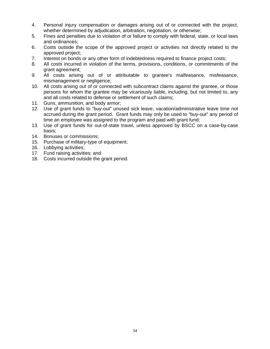- 4. Personal injury compensation or damages arising out of or connected with the project, whether determined by adjudication, arbitration, negotiation, or otherwise;
- 5. Fines and penalties due to violation of or failure to comply with federal, state, or local laws and ordinances;
- 6. Costs outside the scope of the approved project or activities not directly related to the approved project;
- 7. Interest on bonds or any other form of indebtedness required to finance project costs;
- 8. All costs incurred in violation of the terms, provisions, conditions, or commitments of the grant agreement;
- 9. All costs arising out of or attributable to grantee's malfeasance, misfeasance, mismanagement or negligence;
- 10. All costs arising out of or connected with subcontract claims against the grantee, or those persons for whom the grantee may be vicariously liable, including, but not limited to, any and all costs related to defense or settlement of such claims;
- 11. Guns, ammunition, and body armor;
- 12. Use of grant funds to "buy-out" unused sick leave, vacation/administrative leave time not accrued during the grant period. Grant funds may only be used to "buy-out" any period of time an employee was assigned to the program and paid with grant fund;
- 13. Use of grant funds for out-of-state travel, unless approved by BSCC on a case-by-case basis;
- 14. Bonuses or commissions;
- 15. Purchase of military-type of equipment;
- 16. Lobbying activities;
- 17. Fund raising activities; and
- 18. Costs incurred outside the grant period.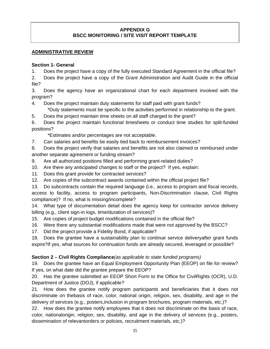## **APPENDIX G BSCC MONITORING / SITE VISIT REPORT TEMPLATE**

## **ADMINISTRATIVE REVIEW**

## **Section 1- General**

- 1. Does the project have a copy of the fully executed Standard Agreement in the official file?
- 2. Does the project have a copy of the Grant Administration and Audit Guide in the official file?

3. Does the agency have an organizational chart for each department involved with the program?

4. Does the project maintain duty statements for staff paid with grant funds?

\*Duty statements must be specific to the activities performed in relationship to the grant.

5. Does the project maintain time sheets on all staff charged to the grant?

6. Does the project maintain functional timesheets or conduct time studies for split-funded positions?

\*Estimates and/or percentages are not acceptable.

7. Can salaries and benefits be easily tied back to reimbursement invoices?

8. Does the project verify that salaries and benefits are not also claimed or reimbursed under another separate agreement or funding stream?

- 9. Are all authorized positions filled and performing grant-related duties?
- 10. Are there any anticipated changes to staff or the project? If yes, explain:
- 11. Does this grant provide for contracted services?
- 12. Are copies of the subcontract awards contained within the official project file?

13. Do subcontracts contain the required language (i.e., access to program and fiscal records, access to facility, access to program participants, Non-Discrimination clause, Civil Rights compliance)? If no, what is missing/incomplete?

14. What type of documentation detail does the agency keep for contractor service delivery billing (e.g., client sign-in logs, time/duration of services)?

- 15. Are copies of project budget modifications contained in the official file?
- 16. Were there any substantial modifications made that were not approved by the BSCC?
- 17. Did the project provide a Fidelity Bond, if applicable?

18. Does the grantee have a sustainability plan to continue service deliveryafter grant funds expire?If yes, what sources for continuation funds are already secured, leveraged or possible?

## **Section 2 – Civil Rights Compliance***(as applicable to state funded programs)*

19. Does the grantee have an Equal Employment Opportunity Plan (EEOP) on file for review? If yes, on what date did the grantee prepare the EEOP?

20. Has the grantee submitted an EEOP Short Form to the Office for CivilRights (OCR), U.D. Department of Justice (DOJ), if applicable?

21. How does the grantee notify program participants and beneficiaries that it does not discriminate on thebasis of race, color, national origin, religion, sex, disability, and age in the delivery of services (e.g., posters,inclusion in program brochures, program materials, etc.)?

22. How does the grantee notify employees that it does not discriminate on the basis of race, color, nationalorigin, religion, sex, disability, and age in the delivery of services (e.g., posters, dissemination of relevantorders or policies, recruitment materials, etc.)?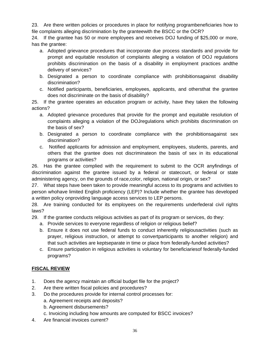23. Are there written policies or procedures in place for notifying programbeneficiaries how to file complaints alleging discrimination by the granteewith the BSCC or the OCR?

24. If the grantee has 50 or more employees and receives DOJ funding of \$25,000 or more, has the grantee:

- a. Adopted grievance procedures that incorporate due process standards and provide for prompt and equitable resolution of complaints alleging a violation of DOJ regulations prohibits discrimination on the basis of a disability in employment practices andthe delivery of services?
- b. Designated a person to coordinate compliance with prohibitionsagainst disability discrimination?
- c. Notified participants, beneficiaries, employees, applicants, and othersthat the grantee does not discriminate on the basis of disability?

25. If the grantee operates an education program or activity, have they taken the following actions?

- a. Adopted grievance procedures that provide for the prompt and equitable resolution of complaints alleging a violation of the DOJregulations which prohibits discrimination on the basis of sex?
- b. Designated a person to coordinate compliance with the prohibitionsagainst sex discrimination?
- c. Notified applicants for admission and employment, employees, students, parents, and others that the grantee does not discriminateon the basis of sex in its educational programs or activities?

26. Has the grantee complied with the requirement to submit to the OCR anyfindings of discrimination against the grantee issued by a federal or statecourt, or federal or state administering agency, on the grounds of race,color, religion, national origin, or sex?

27. What steps have been taken to provide meaningful access to its programs and activities to person whohave limited English proficiency (LEP)? Include whether the grantee has developed a written policy onproviding language access services to LEP persons.

28. Are training conducted for its employees on the requirements underfederal civil rights laws?

29. If the grantee conducts religious activities as part of its program or services, do they:

- a. Provide services to everyone regardless of religion or religious belief?
- b. Ensure it does not use federal funds to conduct inherently religiousactivities (such as prayer, religious instruction, or attempt to convertparticipants to another religion) and that such activities are keptseparate in time or place from federally-funded activities?
- c. Ensure participation in religious activities is voluntary for beneficiariesof federally-funded programs?

## **FISCAL REVIEW**

- 1. Does the agency maintain an official budget file for the project?
- 2. Are there written fiscal policies and procedures?
- 3. Do the procedures provide for internal control processes for:
	- a. Agreement receipts and deposits?
	- b. Agreement disbursements?
	- c. Invoicing including how amounts are computed for BSCC invoices?
- 4. Are financial invoices current?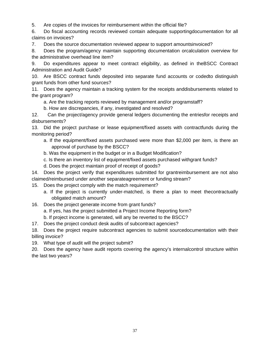5. Are copies of the invoices for reimbursement within the official file?

6. Do fiscal accounting records reviewed contain adequate supportingdocumentation for all claims on invoices?

7. Does the source documentation reviewed appear to support amountsinvoiced?

8. Does the program/agency maintain supporting documentation orcalculation overview for the administrative overhead line item?

9. Do expenditures appear to meet contract eligibility, as defined in theBSCC Contract Administration and Audit Guide?

10. Are BSCC contract funds deposited into separate fund accounts or codedto distinguish grant funds from other fund sources?

11. Does the agency maintain a tracking system for the receipts anddisbursements related to the grant program?

a. Are the tracking reports reviewed by management and/or programstaff?

b. How are discrepancies, if any, investigated and resolved?

12. Can the project/agency provide general ledgers documenting the entriesfor receipts and disbursements?

13. Did the project purchase or lease equipment/fixed assets with contractfunds during the monitoring period?

- a. If the equipment/fixed assets purchased were more than \$2,000 per item, is there an approval of purchase by the BSCC?
- b. Was the equipment in the budget or in a Budget Modification?
- c. Is there an inventory list of equipment/fixed assets purchased withgrant funds?
- d. Does the project maintain proof of receipt of goods?

14. Does the project verify that expenditures submitted for grantreimbursement are not also claimed/reimbursed under another separateagreement or funding stream?

- 15. Does the project comply with the match requirement?
	- a. If the project is currently under-matched, is there a plan to meet thecontractually obligated match amount?
- 16. Does the project generate income from grant funds?
	- a. If yes, has the project submitted a Project Income Reporting form?

b. If project income is generated, will any be reverted to the BSCC?

17. Does the project conduct desk audits of subcontract agencies?

18. Does the project require subcontract agencies to submit sourcedocumentation with their billing invoice?

19. What type of audit will the project submit?

20. Does the agency have audit reports covering the agency's internalcontrol structure within the last two years?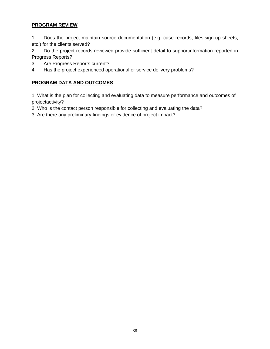## **PROGRAM REVIEW**

1. Does the project maintain source documentation (e.g. case records, files,sign-up sheets, etc.) for the clients served?

2. Do the project records reviewed provide sufficient detail to supportinformation reported in Progress Reports?

- 3. Are Progress Reports current?
- 4. Has the project experienced operational or service delivery problems?

## **PROGRAM DATA AND OUTCOMES**

1. What is the plan for collecting and evaluating data to measure performance and outcomes of projectactivity?

2. Who is the contact person responsible for collecting and evaluating the data?

3. Are there any preliminary findings or evidence of project impact?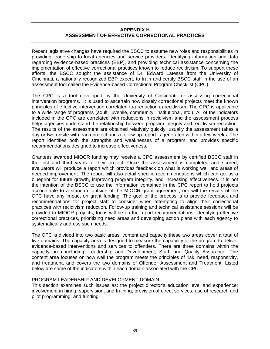## **APPENDIX H ASSESSMENT OF EFFECTIVE CORRECTIONAL PRACTICES**

Recent legislative changes have required the BSCC to assume new roles and responsibilities in providing leadership to local agencies and service providers, identifying information and data regarding evidence-based practices (EBP), and providing technical assistance concerning the implementation of effective correctional practices known to reduce recidivism. To support these efforts, the BSCC sought the assistance of Dr. Edward Latessa from the University of Cincinnati, a nationally recognized EBP expert, to train and certify BSCC staff in the use of an assessment tool called the Evidence-based Correctional Program Checklist (CPC).

The CPC is a tool developed by the University of Cincinnati for assessing correctional intervention programs. It is used to ascertain how closely correctional projects meet the known principles of effective intervention correlated toa reduction in recidivism. The CPC is applicable to a wide range of programs (adult, juvenile, community, institutional, etc.). All of the indicators included in the CPC are correlated with reductions in recidivism and the assessment process helps agencies understand the relationship between program integrity and recidivism reduction. The results of the assessment are obtained relatively quickly; usually the assessment takes a day or two onsite with each project and a follow-up report is generated within a few weeks. The report identifies both the strengths and weaknesses of a program, and provides specific recommendations designed to increase effectiveness.

Grantees awarded MIOCR funding may receive a CPC assessment by certified BSCC staff in the first and third years of their project. Once the assessment is completed and scored, evaluators will produce a report which provides feedback on what is working well and areas of needed improvement. The report will also detail specific recommendations which can act as a blueprint for future growth, improving program integrity, and increasing effectiveness. It is not the intention of the BSCC to use the information contained in the CPC report to hold projects accountable to a standard outside of the MIOCR grant agreement, nor will the results of the CPC have any impact on grant funding. The goal of the process is to provide feedback and recommendations for project staff to consider when attempting to align their correctional practices with recidivism reduction. Follow-up training and technical assistance sessions will be provided to MIOCR projects; focus will be on the report recommendations, identifying effective correctional practices, prioritizing need areas and developing action plans with each agency to systematically address such needs.

The CPC is divided into two basic areas: content and capacity;these two areas cover a total of five domains. The capacity area is designed to measure the capability of the program to deliver evidence-based interventions and services to offenders. There are three domains within the capacity area including: Leadership and Development; Staff; and Quality Assurance. The content area focuses on how well the program meets the principles of risk, need, responsivity, and treatment, and covers the two domains of Offender Assessment and Treatment. Listed below are some of the indicators within each domain associated with the CPC.

#### PROGRAM LEADERSHIP AND DEVELOPMENT DOMAIN

This section examines such issues as: the project director's education level and experience; involvement in hiring, supervision, and training; provision of direct services; use of research and pilot programming; and funding.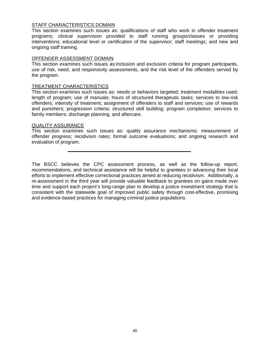### **STAFF CHARACTERISTICS DOMAIN**

This section examines such issues as: qualifications of staff who work in offender treatment programs; clinical supervision provided to staff running groups/classes or providing interventions; educational level or certification of the supervisor; staff meetings; and new and ongoing staff training.

#### OFFENDER ASSESSMENT DOMAIN

This section examines such issues as:inclusion and exclusion criteria for program participants, use of risk, need, and responsivity assessments, and the risk level of the offenders served by the program.

#### TREATMENT CHARACTERISTICS

This section examines such issues as: needs or behaviors targeted; treatment modalities used; length of program; use of manuals; hours of structured therapeutic tasks; services to low-risk offenders; intensity of treatment; assignment of offenders to staff and services; use of rewards and punishers; progression criteria; structured skill building; program completion; services to family members; discharge planning, and aftercare.

#### QUALITY ASSURANCE

This section examines such issues as: quality assurance mechanisms; measurement of offender progress; recidivism rates; formal outcome evaluations; and ongoing research and evaluation of program.

The BSCC believes the CPC assessment process, as well as the follow-up report, recommendations, and technical assistance will be helpful to grantees in advancing their local efforts to implement effective correctional practices aimed at reducing recidivism. Additionally, a re-assessment in the third year will provide valuable feedback to grantees on gains made over time and support each project's long-range plan to develop a justice investment strategy that is consistent with the statewide goal of improved public safety through cost-effective, promising and evidence-based practices for managing criminal justice populations.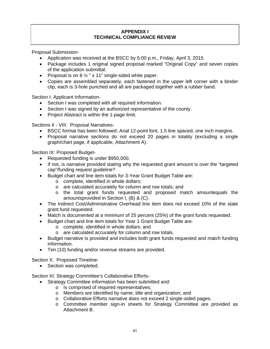## **APPENDIX I TECHNICAL COMPLIANCE REVIEW**

Proposal Submission-

- Application was received at the BSCC by 5:00 p.m., Friday, April 3, 2015.
- Package includes 1 original signed proposal marked "Original Copy" and seven copies of the application submittal.
- Proposal is on  $8\frac{1}{2}$  " x 11" single-sided white paper.
- Copies are assembled separately, each fastened in the upper left corner with a binder clip, each is 3-hole punched and all are packaged together with a rubber band.

Section I: Applicant Information-

- Section I was completed with all required information.
- Section I was signed by an authorized representative of the county.
- Project Abstract is within the 1-page limit.

Sections II - VIII: Proposal Narratives-

- BSCC format has been followed: Arial 12-point font, 1.5 line spaced, one inch margins.
- Proposal narrative sections do not exceed 20 pages in totality (excluding a single graph/chart page, if applicable, Attachment A).

Section IX: Proposed Budget-

- Requested funding is under \$950,000.
- If not, is narrative provided stating why the requested grant amount is over the "targeted cap"/funding request guideline?
- Budget chart and line item totals for 3-Year Grant Budget Table are:
	- o complete, identified in whole dollars;
	- o are calculated accurately for column and row totals; and
	- o the total grant funds requested and proposed match amountequals the amountsprovided in Section I, (B) & (C).
- The Indirect Cost/Administrative Overhead line item does not exceed 10% of the state grant fund requested.
- Match is documented at a minimum of 25 percent (25%) of the grant funds requested.
- Budget chart and line item totals for Year 1 Grant Budget Table are:
	- o complete, identified in whole dollars; and
	- o are calculated accurately for column and row totals.
- Budget narrative is provided and includes both grant funds requested and match funding information.
- Ten (10) funding and/or revenue streams are provided.

Section X: Proposed Timeline-

• Section was completed.

Section XI: Strategy Committee's Collaborative Efforts-

- Strategy Committee information has been submitted and:
	- o Is comprised of required representatives;
	- o Members are identified by name, title and organization; and
	- o Collaborative Efforts narrative does not exceed 2 single-sided pages.
	- o Committee member sign-in sheets for Strategy Committee are provided as Attachment B.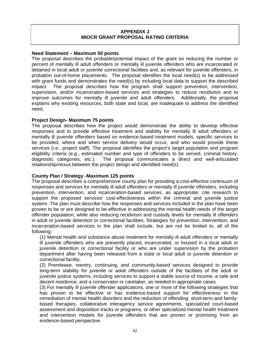## **APPENDIX J MIOCR GRANT PROPOSAL RATING CRITERIA**

## **Need Statement – Maximum 50 points**

The proposal describes the probable/potential impact of the grant on reducing the number or percent of mentally ill adult offenders or mentally ill juvenile offenders who are incarcerated or detained in local adult or juvenile correctional facilities and, as relevant for juvenile offenders, in probation out-of-home placements. The proposal identifies the local need(s) to be addressed with grant funds and demonstrates the need(s) by including local data to support the described impact. The proposal describes how the program shall support prevention, intervention, supervision, and/or incarceration-based services and strategies to reduce recidivism and to improve outcomes for mentally ill juvenile and adult offenders. Additionally, the proposal explains why existing resources, both state and local, are inadequate to address the identified need.

## **Project Design- Maximum 75 points**

The proposal describes how the project would demonstrate the ability to develop effective responses and to provide effective treatment and stability for mentally ill adult offenders or mentally ill juvenile offenders based on evidence-based treatment models, specific services to be provided, where and when service delivery would occur, and who would provide these services (i.e., project staff). The proposal identifies the project's target population and program eligibility criteria (e.g., estimated number and type of offenders to be served, criminal history, diagnostic categories, etc.). The proposal communicates a direct and well-articulated relationship/nexus between the project design and identified need(s).

## **County Plan / Strategy -Maximum 125 points**

The proposal describes a comprehensive county plan for providing a cost-effective continuum of responses and services for mentally ill adult offenders or mentally ill juvenile offenders, including prevention, intervention, and incarceration-based services, as appropriate; cite research to support the proposed services' cost-effectiveness within the criminal and juvenile justice system. The plan must describe how the responses and services included in the plan have been proven to be or are designed to be effective in addressing the mental health needs of the target offender population, while also reducing recidivism and custody levels for mentally ill offenders in adult or juvenile detention or correctional facilities. Strategies for prevention, intervention, and incarceration-based services in the plan shall include, but are not be limited to, all of the following:

(1) Mental health and substance abuse treatment for mentally ill adult offenders or mentally ill juvenile offenders who are presently placed, incarcerated, or housed in a local adult or juvenile detention or correctional facility or who are under supervision by the probation department after having been released from a state or local adult or juvenile detention or correctional facility.

(2) Prerelease, reentry, continuing, and community-based services designed to provide long-term stability for juvenile or adult offenders outside of the facilities of the adult or juvenile justice systems, including services to support a stable source of income, a safe and decent residence, and a conservator or caretaker, as needed in appropriate cases.

(3) For mentally ill juvenile offender applications, one or more of the following strategies that has proven to be effective or has evidence-based support for effectiveness in the remediation of mental health disorders and the reduction of offending: short-term and familybased therapies, collaborative interagency service agreements, specialized court-based assessment and disposition tracks or programs, or other specialized mental health treatment and intervention models for juvenile offenders that are proven or promising from an evidence-based perspective.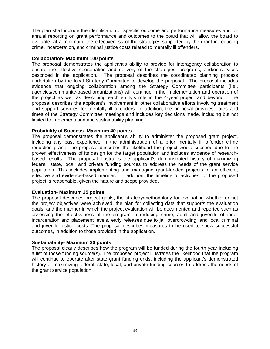The plan shall include the identification of specific outcome and performance measures and for annual reporting on grant performance and outcomes to the board that will allow the board to evaluate, at a minimum, the effectiveness of the strategies supported by the grant in reducing crime, incarceration, and criminal justice costs related to mentally ill offenders.

#### **Collaboration- Maximum 100 points**

The proposal demonstrates the applicant's ability to provide for interagency collaboration to ensure the effective coordination and delivery of the strategies, programs, and/or services described in the application. The proposal describes the coordinated planning process undertaken by the local Strategy Committee to develop the proposal. The proposal includes evidence that ongoing collaboration among the Strategy Committee participants (i.e., agencies/community-based organizations) will continue in the implementation and operation of the project as well as describing each entity's role in the 4-year project and beyond. The proposal describes the applicant's involvement in other collaborative efforts involving treatment and support services for mentally ill offenders. In addition, the proposal provides dates and times of the Strategy Committee meetings and includes key decisions made, including but not limited to implementation and sustainability planning.

#### **Probability of Success- Maximum 40 points**

The proposal demonstrates the applicant's ability to administer the proposed grant project, including any past experience in the administration of a prior mentally ill offender crime reduction grant. The proposal describes the likelihood the project would succeed due to the proven effectiveness of its design for the target population and includes evidence of researchbased results. The proposal illustrates the applicant's demonstrated history of maximizing federal, state, local, and private funding sources to address the needs of the grant service population. This includes implementing and managing grant-funded projects in an efficient, effective and evidence-based manner. In addition, the timeline of activities for the proposed project is reasonable, given the nature and scope provided.

## **Evaluation- Maximum 25 points**

The proposal describes project goals, the strategy/methodology for evaluating whether or not the project objectives were achieved, the plan for collecting data that supports the evaluation goals, and the manner in which the project evaluation will be documented and reported such as assessing the effectiveness of the program in reducing crime, adult and juvenile offender incarceration and placement levels, early releases due to jail overcrowding, and local criminal and juvenile justice costs. The proposal describes measures to be used to show successful outcomes, in addition to those provided in the application.

## **Sustainability- Maximum 30 points**

The proposal clearly describes how the program will be funded during the fourth year including a list of those funding source(s). The proposed project illustrates the likelihood that the program will continue to operate after state grant funding ends, including the applicant's demonstrated history of maximizing federal, state, local, and private funding sources to address the needs of the grant service population.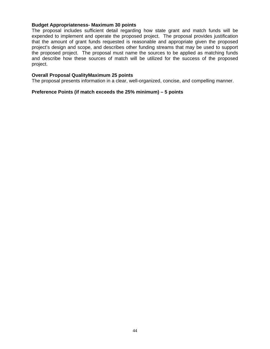#### **Budget Appropriateness- Maximum 30 points**

The proposal includes sufficient detail regarding how state grant and match funds will be expended to implement and operate the proposed project. The proposal provides justification that the amount of grant funds requested is reasonable and appropriate given the proposed project's design and scope, and describes other funding streams that may be used to support the proposed project. The proposal must name the sources to be applied as matching funds and describe how these sources of match will be utilized for the success of the proposed project.

#### **Overall Proposal QualityMaximum 25 points**

The proposal presents information in a clear, well-organized, concise, and compelling manner.

#### **Preference Points (if match exceeds the 25% minimum) – 5 points**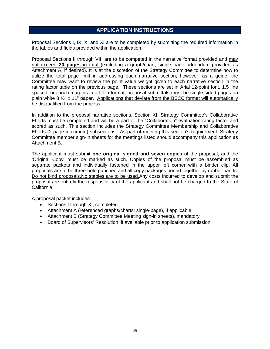## **APPLICATION INSTRUCTIONS**

Proposal Sections I, IX, X, and XI are to be completed by submitting the required information in the tables and fields provided within the application.

Proposal Sections II through VIII are to be competed in the narrative format provided and may not exceed **20 pages** in total (excluding a graph/chart, single page addendum provided as Attachment A, if desired). It is at the discretion of the Strategy Committee to determine how to utilize the total page limit in addressing each narrative section; however, as a guide, the Committee may want to review the point value weight given to each narrative section in the rating factor table on the previous page. These sections are set in Arial 12-point font, 1.5 line spaced, one inch margins in a fill-in format; proposal submittals must be single-sided pages on plain white 8  $\frac{1}{2}$ " x 11" paper. Applications that deviate from the BSCC format will automatically be disqualified from the process.

In addition to the proposal narrative sections, Section XI: Strategy Committee's Collaborative Efforts must be completed and will be a part of the "Collaboration" evaluation rating factor and scored as such. This section includes the Strategy Committee Membership and Collaborative Efforts (2-page maximum) subsections. As part of meeting this section's requirement, Strategy Committee member sign-in sheets for the meetings listed should accompany this application as Attachment B.

The applicant must submit **one original signed and seven copies** of the proposal, and the 'Original Copy' must be marked as such. Copies of the proposal must be assembled as separate packets and individually fastened in the upper left corner with a binder clip. All proposals are to be three-hole punched and all copy packages bound together by rubber bands. Do not bind proposals.No staples are to be used.Any costs incurred to develop and submit the proposal are entirely the responsibility of the applicant and shall not be charged to the State of California.

A proposal packet includes:

- Sections I through XI, completed
- Attachment A (referenced graphs/charts; single-page), if applicable
- Attachment B (Strategy Committee Meeting sign-in sheets), mandatory
- Board of Supervisors' Resolution, if available prior to application submission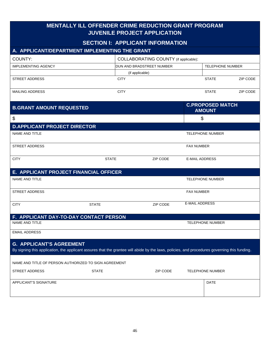| <b>MENTALLY ILL OFFENDER CRIME REDUCTION GRANT PROGRAM</b><br><b>JUVENILE PROJECT APPLICATION</b>                                                                               |              |                 |                                         |                       |                                          |          |
|---------------------------------------------------------------------------------------------------------------------------------------------------------------------------------|--------------|-----------------|-----------------------------------------|-----------------------|------------------------------------------|----------|
|                                                                                                                                                                                 |              |                 | <b>SECTION I: APPLICANT INFORMATION</b> |                       |                                          |          |
| A. APPLICANT/DEPARTMENT IMPLEMENTING THE GRANT                                                                                                                                  |              |                 |                                         |                       |                                          |          |
| COUNTY:                                                                                                                                                                         |              |                 | COLLABORATING COUNTY (if applicable):   |                       |                                          |          |
| <b>IMPLEMENTING AGENCY</b>                                                                                                                                                      |              |                 | DUN AND BRADSTREET NUMBER               |                       | <b>TELEPHONE NUMBER</b>                  |          |
|                                                                                                                                                                                 |              | (if applicable) |                                         |                       |                                          |          |
| <b>STREET ADDRESS</b>                                                                                                                                                           |              | <b>CITY</b>     |                                         |                       | <b>STATE</b>                             | ZIP CODE |
| <b>MAILING ADDRESS</b>                                                                                                                                                          |              | <b>CITY</b>     |                                         |                       | <b>STATE</b>                             | ZIP CODE |
| <b>B.GRANT AMOUNT REQUESTED</b>                                                                                                                                                 |              |                 |                                         |                       | <b>C.PROPOSED MATCH</b><br><b>AMOUNT</b> |          |
| \$                                                                                                                                                                              |              |                 |                                         |                       | \$                                       |          |
| <b>D.APPLICANT PROJECT DIRECTOR</b>                                                                                                                                             |              |                 |                                         |                       |                                          |          |
| NAME AND TITLE                                                                                                                                                                  |              |                 |                                         |                       | <b>TELEPHONE NUMBER</b>                  |          |
| <b>STREET ADDRESS</b>                                                                                                                                                           |              |                 |                                         | <b>FAX NUMBER</b>     |                                          |          |
| <b>CITY</b>                                                                                                                                                                     | <b>STATE</b> |                 | ZIP CODE                                | <b>E-MAIL ADDRESS</b> |                                          |          |
| E. APPLICANT PROJECT FINANCIAL OFFICER                                                                                                                                          |              |                 |                                         |                       |                                          |          |
| <b>NAME AND TITLE</b>                                                                                                                                                           |              |                 |                                         |                       | <b>TELEPHONE NUMBER</b>                  |          |
| <b>STREET ADDRESS</b>                                                                                                                                                           |              |                 |                                         | <b>FAX NUMBER</b>     |                                          |          |
| <b>CITY</b>                                                                                                                                                                     | <b>STATE</b> |                 | <b>ZIP CODE</b>                         | <b>E-MAIL ADDRESS</b> |                                          |          |
| F. APPLICANT DAY-TO-DAY CONTACT PERSON                                                                                                                                          |              |                 |                                         |                       |                                          |          |
| NAME AND TITLE                                                                                                                                                                  |              |                 |                                         |                       | <b>TELEPHONE NUMBER</b>                  |          |
| <b>EMAIL ADDRESS</b>                                                                                                                                                            |              |                 |                                         |                       |                                          |          |
| <b>G. APPLICANT'S AGREEMENT</b><br>By signing this application, the applicant assures that the grantee will abide by the laws, policies, and procedures governing this funding. |              |                 |                                         |                       |                                          |          |
| NAME AND TITLE OF PERSON AUTHORIZED TO SIGN AGREEMENT                                                                                                                           |              |                 |                                         |                       |                                          |          |
| STREET ADDRESS                                                                                                                                                                  | <b>STATE</b> |                 | ZIP CODE                                |                       | <b>TELEPHONE NUMBER</b>                  |          |
| APPLICANT'S SIGNATURE                                                                                                                                                           |              |                 |                                         |                       | <b>DATE</b>                              |          |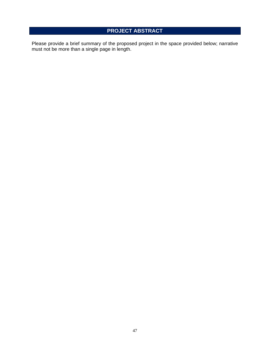# **PROJECT ABSTRACT**

Please provide a brief summary of the proposed project in the space provided below; narrative must not be more than a single page in length.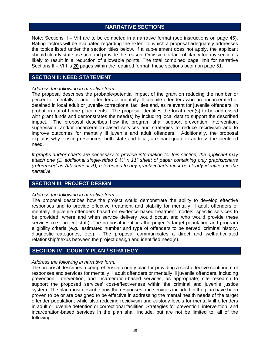## **NARRATIVE SECTIONS**

Note: Sections II – VIII are to be competed in a narrative format (see instructions on page 45). Rating factors will be evaluated regarding the extent to which a proposal adequately addresses the topics listed under the section titles below. If a sub-element does not apply, the applicant should clearly state as such and provide the reason. Omission or lack of clarity for any section is likely to result in a reduction of allowable points. The total combined page limit for narrative Sections II – VIII is **20** pages within the required format; these sections begin on page 51.

## **SECTION II: NEED STATEMENT**

### *Address the following in narrative form:*

The proposal describes the probable/potential impact of the grant on reducing the number or percent of mentally ill adult offenders or mentally ill juvenile offenders who are incarcerated or detained in local adult or juvenile correctional facilities and, as relevant for juvenile offenders, in probation out-of-home placements. The proposal identifies the local need(s) to be addressed with grant funds and demonstrates the need(s) by including local data to support the described impact. The proposal describes how the program shall support prevention, intervention, supervision, and/or incarceration-based services and strategies to reduce recidivism and to improve outcomes for mentally ill juvenile and adult offenders. Additionally, the proposal explains why existing resources, both state and local, are inadequate to address the identified need.

*If graphs and/or charts are necessary to provide information for this section, the applicant may attach one (1) additional single-sided 8 ½" x 11" sheet of paper containing only graphs/charts (referenced as Attachment A); references to any graphs/charts must be clearly identified in the narrative.* 

## **SECTION III: PROJECT DESIGN**

## *Address the following in narrative form:*

The proposal describes how the project would demonstrate the ability to develop effective responses and to provide effective treatment and stability for mentally ill adult offenders or mentally ill juvenile offenders based on evidence-based treatment models, specific services to be provided, where and when service delivery would occur, and who would provide these services (i.e., project staff). The proposal identifies the project's target population and program eligibility criteria (e.g., estimated number and type of offenders to be served, criminal history, diagnostic categories, etc.). The proposal communicates a direct and well-articulated relationship/nexus between the project design and identified need(s).

## **SECTION IV: COUNTY PLAN / STRATEGY**

#### *Address the following in narrative form:*

The proposal describes a comprehensive county plan for providing a cost-effective continuum of responses and services for mentally ill adult offenders or mentally ill juvenile offenders, including prevention, intervention, and incarceration-based services, as appropriate; cite research to support the proposed services' cost-effectiveness within the criminal and juvenile justice system. The plan must describe how the responses and services included in the plan have been proven to be or are designed to be effective in addressing the mental health needs of the target offender population, while also reducing recidivism and custody levels for mentally ill offenders in adult or juvenile detention or correctional facilities. Strategies for prevention, intervention, and incarceration-based services in the plan shall include, but are not be limited to, all of the following: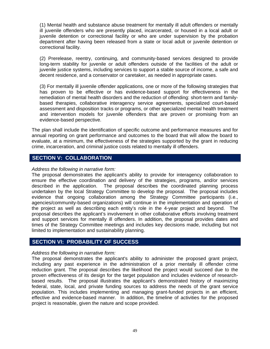(1) Mental health and substance abuse treatment for mentally ill adult offenders or mentally ill juvenile offenders who are presently placed, incarcerated, or housed in a local adult or juvenile detention or correctional facility or who are under supervision by the probation department after having been released from a state or local adult or juvenile detention or correctional facility.

(2) Prerelease, reentry, continuing, and community-based services designed to provide long-term stability for juvenile or adult offenders outside of the facilities of the adult or juvenile justice systems, including services to support a stable source of income, a safe and decent residence, and a conservator or caretaker, as needed in appropriate cases.

(3) For mentally ill juvenile offender applications, one or more of the following strategies that has proven to be effective or has evidence-based support for effectiveness in the remediation of mental health disorders and the reduction of offending: short-term and familybased therapies, collaborative interagency service agreements, specialized court-based assessment and disposition tracks or programs, or other specialized mental health treatment and intervention models for juvenile offenders that are proven or promising from an evidence-based perspective.

The plan shall include the identification of specific outcome and performance measures and for annual reporting on grant performance and outcomes to the board that will allow the board to evaluate, at a minimum, the effectiveness of the strategies supported by the grant in reducing crime, incarceration, and criminal justice costs related to mentally ill offenders.

## **SECTION V: COLLABORATION**

#### *Address the following in narrative form:*

The proposal demonstrates the applicant's ability to provide for interagency collaboration to ensure the effective coordination and delivery of the strategies, programs, and/or services described in the application. The proposal describes the coordinated planning process undertaken by the local Strategy Committee to develop the proposal. The proposal includes evidence that ongoing collaboration among the Strategy Committee participants (i.e., agencies/community-based organizations) will continue in the implementation and operation of the project as well as describing each entity's role in the 4-year project and beyond. The proposal describes the applicant's involvement in other collaborative efforts involving treatment and support services for mentally ill offenders. In addition, the proposal provides dates and times of the Strategy Committee meetings and includes key decisions made, including but not limited to implementation and sustainability planning.

## **SECTION VI: PROBABILITY OF SUCCESS**

#### *Address the following in narrative form:*

The proposal demonstrates the applicant's ability to administer the proposed grant project, including any past experience in the administration of a prior mentally ill offender crime reduction grant. The proposal describes the likelihood the project would succeed due to the proven effectiveness of its design for the target population and includes evidence of researchbased results. The proposal illustrates the applicant's demonstrated history of maximizing federal, state, local, and private funding sources to address the needs of the grant service population. This includes implementing and managing grant-funded projects in an efficient, effective and evidence-based manner. In addition, the timeline of activities for the proposed project is reasonable, given the nature and scope provided.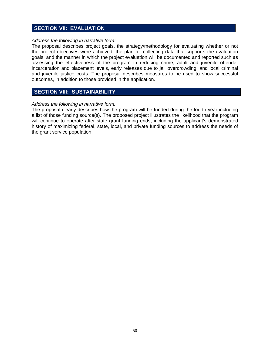## **SECTION VII: EVALUATION**

#### *Address the following in narrative form:*

The proposal describes project goals, the strategy/methodology for evaluating whether or not the project objectives were achieved, the plan for collecting data that supports the evaluation goals, and the manner in which the project evaluation will be documented and reported such as assessing the effectiveness of the program in reducing crime, adult and juvenile offender incarceration and placement levels, early releases due to jail overcrowding, and local criminal and juvenile justice costs. The proposal describes measures to be used to show successful outcomes, in addition to those provided in the application.

## **SECTION VIII: SUSTAINABILITY**

#### *Address the following in narrative form:*

The proposal clearly describes how the program will be funded during the fourth year including a list of those funding source(s). The proposed project illustrates the likelihood that the program will continue to operate after state grant funding ends, including the applicant's demonstrated history of maximizing federal, state, local, and private funding sources to address the needs of the grant service population.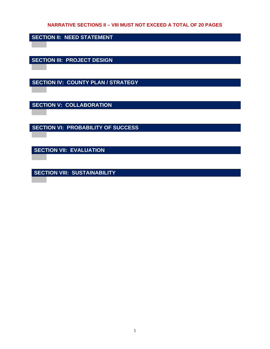## **NARRATIVE SECTIONS II – VIII MUST NOT EXCEED A TOTAL OF 20 PAGES**

**SECTION II: NEED STATEMENT** 

**SECTION III: PROJECT DESIGN** 

**SECTION IV: COUNTY PLAN / STRATEGY** 

**SECTION V: COLLABORATION** 

**SECTION VI: PROBABILITY OF SUCCESS** 

**SECTION VII: EVALUATION** 

**SECTION VIII: SUSTAINABILITY**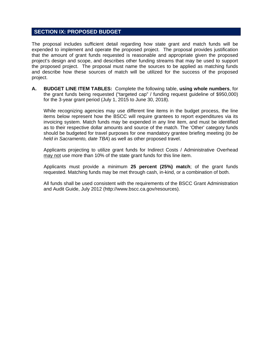## **SECTION IX: PROPOSED BUDGET**

The proposal includes sufficient detail regarding how state grant and match funds will be expended to implement and operate the proposed project. The proposal provides justification that the amount of grant funds requested is reasonable and appropriate given the proposed project's design and scope, and describes other funding streams that may be used to support the proposed project. The proposal must name the sources to be applied as matching funds and describe how these sources of match will be utilized for the success of the proposed project.

**A. BUDGET LINE ITEM TABLES:** Complete the following table, **using whole numbers**, for the grant funds being requested ("targeted cap" / funding request guideline of \$950,000) for the 3-year grant period (July 1, 2015 to June 30, 2018).

While recognizing agencies may use different line items in the budget process, the line items below represent how the BSCC will require grantees to report expenditures via its invoicing system. Match funds may be expended in any line item, and must be identified as to their respective dollar amounts and source of the match. The 'Other' category funds should be budgeted for travel purposes for one mandatory grantee briefing meeting (*to be held in Sacramento, date TBA*) as well as other proposed travel.

Applicants projecting to utilize grant funds for Indirect Costs / Administrative Overhead may not use more than 10% of the state grant funds for this line item.

Applicants must provide a minimum **25 percent (25%) match**; of the grant funds requested. Matching funds may be met through cash, in-kind, or a combination of both.

All funds shall be used consistent with the requirements of the BSCC Grant Administration and Audit Guide, July 2012 (http://www.bscc.ca.gov/resources).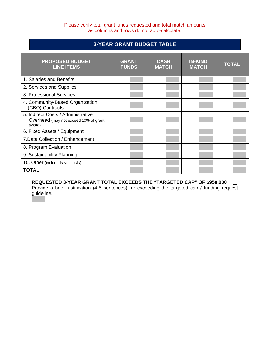### Please verify total grant funds requested and total match amounts as columns and rows do not auto-calculate.

# **3-YEAR GRANT BUDGET TABLE**

| <b>PROPOSED BUDGET</b><br><b>LINE ITEMS</b>                                           | <b>GRANT</b><br><b>FUNDS</b> | <b>CASH</b><br><b>MATCH</b> | <b>IN-KIND</b><br><b>MATCH</b> | <b>TOTAL</b> |
|---------------------------------------------------------------------------------------|------------------------------|-----------------------------|--------------------------------|--------------|
| 1. Salaries and Benefits                                                              |                              |                             |                                |              |
| 2. Services and Supplies                                                              |                              |                             |                                |              |
| 3. Professional Services                                                              |                              |                             |                                |              |
| 4. Community-Based Organization<br>(CBO) Contracts                                    |                              |                             |                                |              |
| 5. Indirect Costs / Administrative<br>Overhead (may not exceed 10% of grant<br>award) |                              |                             |                                |              |
| 6. Fixed Assets / Equipment                                                           |                              |                             |                                |              |
| 7. Data Collection / Enhancement                                                      |                              |                             |                                |              |
| 8. Program Evaluation                                                                 |                              |                             |                                |              |
| 9. Sustainability Planning                                                            |                              |                             |                                |              |
| 10. Other (include travel costs)                                                      |                              |                             |                                |              |
| <b>TOTAL</b>                                                                          |                              |                             |                                |              |

**REQUESTED 3-YEAR GRANT TOTAL EXCEEDS THE "TARGETED CAP" OF \$950,000**  Provide a brief justification (4-5 sentences) for exceeding the targeted cap / funding request guideline.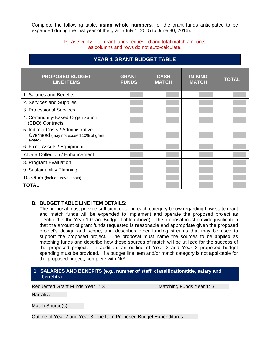Complete the following table, **using whole numbers**, for the grant funds anticipated to be expended during the first year of the grant (July 1, 2015 to June 30, 2016).

### Please verify total grant funds requested and total match amounts as columns and rows do not auto-calculate.

| <b>PROPOSED BUDGET</b><br><b>LINE ITEMS</b>                                           | <b>GRANT</b><br><b>FUNDS</b> | <b>CASH</b><br><b>MATCH</b> | <b>IN-KIND</b><br><b>MATCH</b> | <b>TOTAL</b> |
|---------------------------------------------------------------------------------------|------------------------------|-----------------------------|--------------------------------|--------------|
| 1. Salaries and Benefits                                                              |                              |                             |                                |              |
| 2. Services and Supplies                                                              |                              |                             |                                |              |
| 3. Professional Services                                                              |                              |                             |                                |              |
| 4. Community-Based Organization<br>(CBO) Contracts                                    |                              |                             |                                |              |
| 5. Indirect Costs / Administrative<br>Overhead (may not exceed 10% of grant<br>award) |                              |                             |                                |              |
| 6. Fixed Assets / Equipment                                                           |                              |                             |                                |              |
| 7. Data Collection / Enhancement                                                      |                              |                             |                                |              |
| 8. Program Evaluation                                                                 |                              |                             |                                |              |
| 9. Sustainability Planning                                                            |                              |                             |                                |              |
| 10. Other (include travel costs)                                                      |                              |                             |                                |              |
| <b>TOTAL</b>                                                                          |                              |                             |                                |              |

# **YEAR 1 GRANT BUDGET TABLE**

## **B. BUDGET TABLE LINE ITEM DETAILS:**

The proposal must provide sufficient detail in each category below regarding how state grant and match funds will be expended to implement and operate the proposed project as identified in the Year 1 Grant Budget Table (above). The proposal must provide justification that the amount of grant funds requested is reasonable and appropriate given the proposed project's design and scope, and describes other funding streams that may be used to support the proposed project. The proposal must name the sources to be applied as matching funds and describe how these sources of match will be utilized for the success of the proposed project. In addition, an outline of Year 2 and Year 3 proposed budget spending must be provided. If a budget line item and/or match category is not applicable for the proposed project, complete with N/A.

#### **1. SALARIES AND BENEFITS (e.g., number of staff, classification/title, salary and benefits)**

Requested Grant Funds Year 1: \$ Matching Funds Year 1: \$

Narrative:

Match Source(s):

Outline of Year 2 and Year 3 Line Item Proposed Budget Expenditures: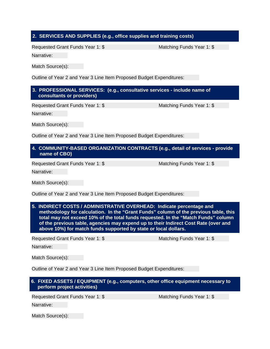## **2. SERVICES AND SUPPLIES (e.g., office supplies and training costs)**

Requested Grant Funds Year 1: \$ Matching Funds Year 1: \$

Narrative:

Match Source(s):

Outline of Year 2 and Year 3 Line Item Proposed Budget Expenditures:

## **3. PROFESSIONAL SERVICES: (e.g., consultative services - include name of consultants or providers)**

Requested Grant Funds Year 1: \$ Matching Funds Year 1: \$

Narrative:

Match Source(s):

Outline of Year 2 and Year 3 Line Item Proposed Budget Expenditures:

## **4. COMMUNITY-BASED ORGANIZATION CONTRACTS (e.g., detail of services - provide name of CBO)**

Requested Grant Funds Year 1: \$ Matching Funds Year 1: \$

Narrative:

Match Source(s):

Outline of Year 2 and Year 3 Line Item Proposed Budget Expenditures:

### **5. INDIRECT COSTS / ADMINISTRATIVE OVERHEAD: Indicate percentage and methodology for calculation. In the "Grant Funds" column of the previous table, this total may not exceed 10% of the total funds requested. In the "Match Funds" column of the previous table, agencies may expend up to their Indirect Cost Rate (over and above 10%) for match funds supported by state or local dollars.**

Requested Grant Funds Year 1: \$ Matching Funds Year 1: \$

Narrative:

Match Source(s):

Outline of Year 2 and Year 3 Line Item Proposed Budget Expenditures:

**6. FIXED ASSETS / EQUIPMENT (e.g., computers, other office equipment necessary to perform project activities)** 

Requested Grant Funds Year 1: \$ Matching Funds Year 1: \$

Narrative:

Match Source(s):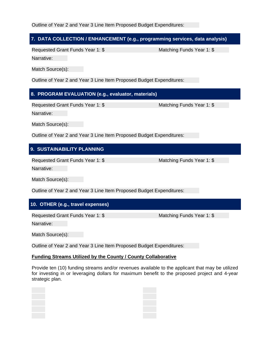Outline of Year 2 and Year 3 Line Item Proposed Budget Expenditures:

## **7. DATA COLLECTION / ENHANCEMENT (e.g., programming services, data analysis)**

Requested Grant Funds Year 1: \$ Matching Funds Year 1: \$

Narrative:

Match Source(s):

Outline of Year 2 and Year 3 Line Item Proposed Budget Expenditures:

# **8. PROGRAM EVALUATION (e.g., evaluator, materials)**

Requested Grant Funds Year 1: \$ Matching Funds Year 1: \$

Narrative:

Match Source(s):

Outline of Year 2 and Year 3 Line Item Proposed Budget Expenditures:

# **9. SUSTAINABILITY PLANNING**

Requested Grant Funds Year 1: \$ Matching Funds Year 1: \$

Narrative:

Match Source(s):

Outline of Year 2 and Year 3 Line Item Proposed Budget Expenditures:

# **10. OTHER (e.g., travel expenses)**

Requested Grant Funds Year 1: \$ Matching Funds Year 1: \$

Narrative:

Match Source(s):

Outline of Year 2 and Year 3 Line Item Proposed Budget Expenditures:

## **Funding Streams Utilized by the County / County Collaborative**

Provide ten (10) funding streams and/or revenues available to the applicant that may be utilized for investing in or leveraging dollars for maximum benefit to the proposed project and 4-year strategic plan.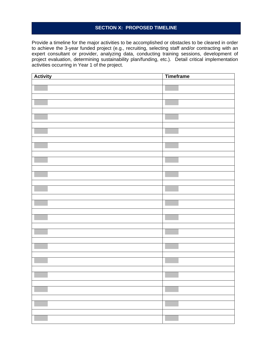## **SECTION X: PROPOSED TIMELINE**

Provide a timeline for the major activities to be accomplished or obstacles to be cleared in order to achieve the 3-year funded project (e.g., recruiting, selecting staff and/or contracting with an expert consultant or provider, analyzing data, conducting training sessions, development of project evaluation, determining sustainability plan/funding, etc.). Detail critical implementation activities occurring in Year 1 of the project.

| <b>Activity</b> | <b>Timeframe</b> |
|-----------------|------------------|
|                 |                  |
|                 |                  |
|                 |                  |
|                 |                  |
|                 |                  |
|                 |                  |
|                 |                  |
|                 |                  |
|                 |                  |
|                 |                  |
|                 |                  |
|                 |                  |
|                 |                  |
|                 |                  |
|                 |                  |
|                 |                  |
|                 |                  |
|                 |                  |
|                 |                  |
|                 |                  |
|                 |                  |
|                 |                  |
|                 |                  |
|                 |                  |
|                 |                  |
|                 |                  |
|                 |                  |
|                 |                  |
|                 |                  |
|                 |                  |
|                 |                  |
|                 |                  |
|                 |                  |
|                 |                  |
|                 |                  |
|                 |                  |
|                 |                  |
|                 |                  |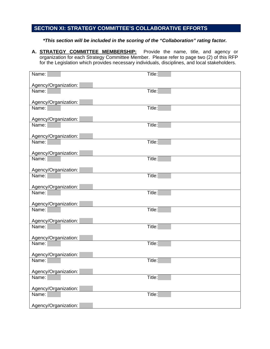# **SECTION XI: STRATEGY COMMITTEE'S COLLABORATIVE EFFORTS**

## *\*This section will be included in the scoring of the "Collaboration" rating factor.*

**A. STRATEGY COMMITTEE MEMBERSHIP:** Provide the name, title, and agency or organization for each Strategy Committee Member. Please refer to page two (2) of this RFP for the Legislation which provides necessary individuals, disciplines, and local stakeholders.

| Name:                | Title:               |
|----------------------|----------------------|
|                      |                      |
| Agency/Organization: |                      |
| Name:                | Title:               |
| Agency/Organization: |                      |
| Name:                | Title:               |
|                      |                      |
| Agency/Organization: |                      |
| Name:                | Title:               |
|                      |                      |
| Agency/Organization: |                      |
| Name:                | $\overline{T}$ itle: |
| Agency/Organization: |                      |
| Name:                | Title:               |
|                      |                      |
| Agency/Organization: |                      |
| Name:                | Title:               |
|                      |                      |
| Agency/Organization: |                      |
| Name:                | Title:               |
|                      |                      |
| Agency/Organization: |                      |
| Name:                | Title:               |
| Agency/Organization: |                      |
| Name:                | Title:               |
|                      |                      |
| Agency/Organization: |                      |
| Name:                | Title:               |
|                      |                      |
| Agency/Organization: |                      |
| Name:                | Title:               |
| Agency/Organization: |                      |
| Name:                | Title:               |
|                      |                      |
| Agency/Organization: |                      |
| Name:                | Title:               |
|                      |                      |
| Agency/Organization: |                      |